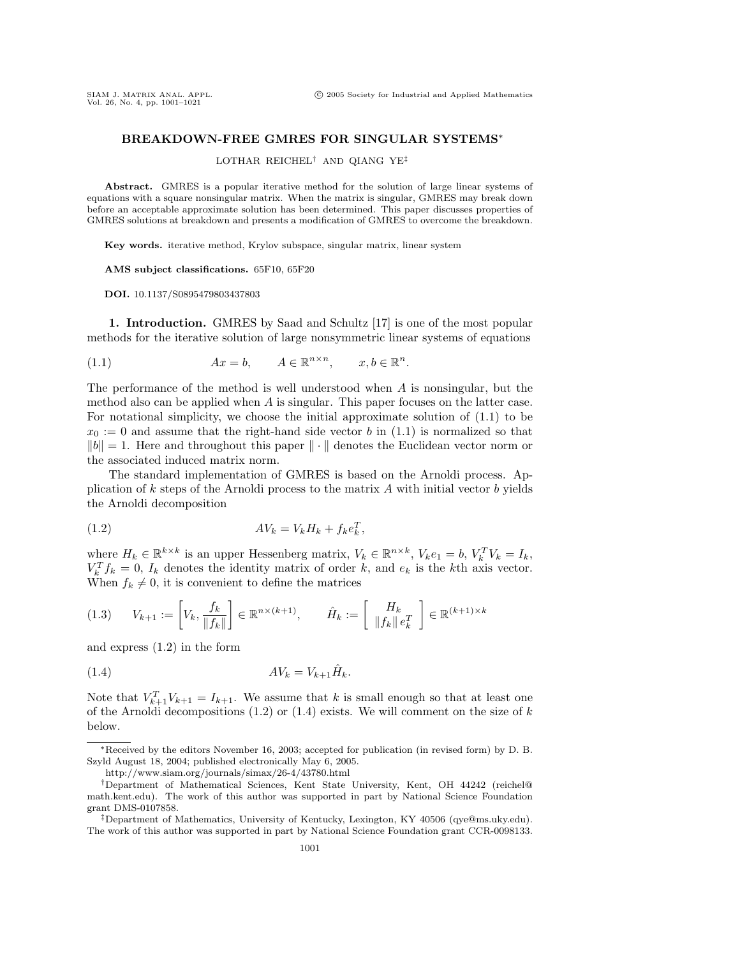## **BREAKDOWN-FREE GMRES FOR SINGULAR SYSTEMS**∗

LOTHAR REICHEL† AND QIANG YE‡

**Abstract.** GMRES is a popular iterative method for the solution of large linear systems of equations with a square nonsingular matrix. When the matrix is singular, GMRES may break down before an acceptable approximate solution has been determined. This paper discusses properties of GMRES solutions at breakdown and presents a modification of GMRES to overcome the breakdown.

**Key words.** iterative method, Krylov subspace, singular matrix, linear system

**AMS subject classifications.** 65F10, 65F20

**DOI.** 10.1137/S0895479803437803

**1. Introduction.** GMRES by Saad and Schultz [17] is one of the most popular methods for the iterative solution of large nonsymmetric linear systems of equations

(1.1) 
$$
Ax = b, \qquad A \in \mathbb{R}^{n \times n}, \qquad x, b \in \mathbb{R}^n.
$$

The performance of the method is well understood when A is nonsingular, but the method also can be applied when A is singular. This paper focuses on the latter case. For notational simplicity, we choose the initial approximate solution of (1.1) to be  $x_0 := 0$  and assume that the right-hand side vector b in (1.1) is normalized so that  $||b|| = 1$ . Here and throughout this paper  $|| \cdot ||$  denotes the Euclidean vector norm or the associated induced matrix norm.

The standard implementation of GMRES is based on the Arnoldi process. Application of  $k$  steps of the Arnoldi process to the matrix  $A$  with initial vector  $b$  yields the Arnoldi decomposition

$$
(1.2) \t\t\t AV_k = V_k H_k + f_k e_k^T,
$$

where  $H_k \in \mathbb{R}^{k \times k}$  is an upper Hessenberg matrix,  $V_k \in \mathbb{R}^{n \times k}$ ,  $V_k e_1 = b$ ,  $V_k^T V_k = I_k$ ,  $V_k^T f_k = 0$ ,  $I_k$  denotes the identity matrix of order k, and  $e_k$  is the kth axis vector. When  $f_k \neq 0$ , it is convenient to define the matrices

$$
(1.3) \qquad V_{k+1} := \left[ V_k, \frac{f_k}{\|f_k\|} \right] \in \mathbb{R}^{n \times (k+1)}, \qquad \hat{H}_k := \left[ \begin{array}{c} H_k \\ \|f_k\| \, e_k^T \end{array} \right] \in \mathbb{R}^{(k+1) \times k}
$$

and express (1.2) in the form

$$
(1.4) \t\t\t AV_k = V_{k+1} \hat{H}_k.
$$

Note that  $V_{k+1}^T V_{k+1} = I_{k+1}$ . We assume that k is small enough so that at least one of the Arnoldi decompositions  $(1.2)$  or  $(1.4)$  exists. We will comment on the size of k below.

<sup>∗</sup>Received by the editors November 16, 2003; accepted for publication (in revised form) by D. B. Szyld August 18, 2004; published electronically May 6, 2005.

http://www.siam.org/journals/simax/26-4/43780.html

<sup>†</sup>Department of Mathematical Sciences, Kent State University, Kent, OH 44242 (reichel@ math.kent.edu). The work of this author was supported in part by National Science Foundation grant DMS-0107858.

<sup>‡</sup>Department of Mathematics, University of Kentucky, Lexington, KY 40506 (qye@ms.uky.edu). The work of this author was supported in part by National Science Foundation grant CCR-0098133.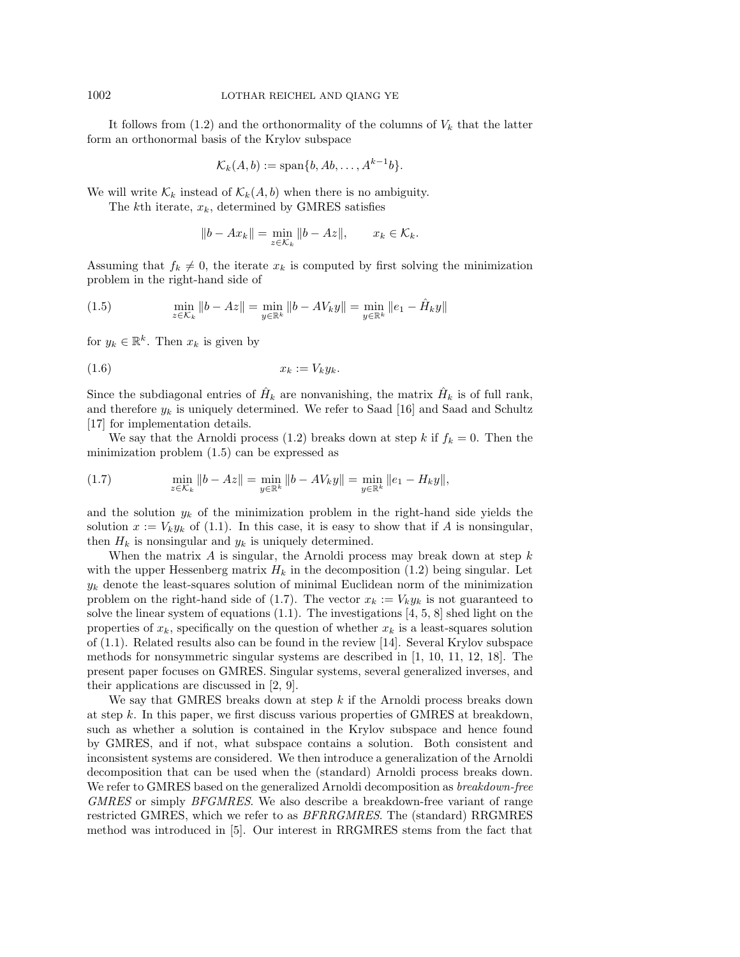It follows from  $(1.2)$  and the orthonormality of the columns of  $V_k$  that the latter form an orthonormal basis of the Krylov subspace

$$
\mathcal{K}_k(A,b) := \mathrm{span}\{b, Ab, \ldots, A^{k-1}b\}.
$$

We will write  $\mathcal{K}_k$  instead of  $\mathcal{K}_k(A, b)$  when there is no ambiguity.

The kth iterate,  $x_k$ , determined by GMRES satisfies

$$
||b - Ax_k|| = \min_{z \in \mathcal{K}_k} ||b - Az||, \qquad x_k \in \mathcal{K}_k.
$$

Assuming that  $f_k \neq 0$ , the iterate  $x_k$  is computed by first solving the minimization problem in the right-hand side of

(1.5) 
$$
\min_{z \in \mathcal{K}_k} \|b - Az\| = \min_{y \in \mathbb{R}^k} \|b - AV_ky\| = \min_{y \in \mathbb{R}^k} \|e_1 - \hat{H}_ky\|
$$

for  $y_k \in \mathbb{R}^k$ . Then  $x_k$  is given by

$$
(1.6) \t\t x_k := V_k y_k.
$$

Since the subdiagonal entries of  $\hat{H}_k$  are nonvanishing, the matrix  $\hat{H}_k$  is of full rank, and therefore  $y_k$  is uniquely determined. We refer to Saad [16] and Saad and Schultz [17] for implementation details.

We say that the Arnoldi process (1.2) breaks down at step k if  $f_k = 0$ . Then the minimization problem (1.5) can be expressed as

(1.7) 
$$
\min_{z \in \mathcal{K}_k} \|b - Az\| = \min_{y \in \mathbb{R}^k} \|b - AV_ky\| = \min_{y \in \mathbb{R}^k} \|e_1 - H_ky\|,
$$

and the solution  $y_k$  of the minimization problem in the right-hand side yields the solution  $x := V_k y_k$  of (1.1). In this case, it is easy to show that if A is nonsingular, then  $H_k$  is nonsingular and  $y_k$  is uniquely determined.

When the matrix  $A$  is singular, the Arnoldi process may break down at step  $k$ with the upper Hessenberg matrix  $H_k$  in the decomposition (1.2) being singular. Let  $y_k$  denote the least-squares solution of minimal Euclidean norm of the minimization problem on the right-hand side of (1.7). The vector  $x_k := V_k y_k$  is not guaranteed to solve the linear system of equations  $(1.1)$ . The investigations  $[4, 5, 8]$  shed light on the properties of  $x_k$ , specifically on the question of whether  $x_k$  is a least-squares solution of (1.1). Related results also can be found in the review [14]. Several Krylov subspace methods for nonsymmetric singular systems are described in [1, 10, 11, 12, 18]. The present paper focuses on GMRES. Singular systems, several generalized inverses, and their applications are discussed in [2, 9].

We say that GMRES breaks down at step  $k$  if the Arnoldi process breaks down at step k. In this paper, we first discuss various properties of GMRES at breakdown, such as whether a solution is contained in the Krylov subspace and hence found by GMRES, and if not, what subspace contains a solution. Both consistent and inconsistent systems are considered. We then introduce a generalization of the Arnoldi decomposition that can be used when the (standard) Arnoldi process breaks down. We refer to GMRES based on the generalized Arnoldi decomposition as *breakdown-free* GMRES or simply BFGMRES. We also describe a breakdown-free variant of range restricted GMRES, which we refer to as BFRRGMRES. The (standard) RRGMRES method was introduced in [5]. Our interest in RRGMRES stems from the fact that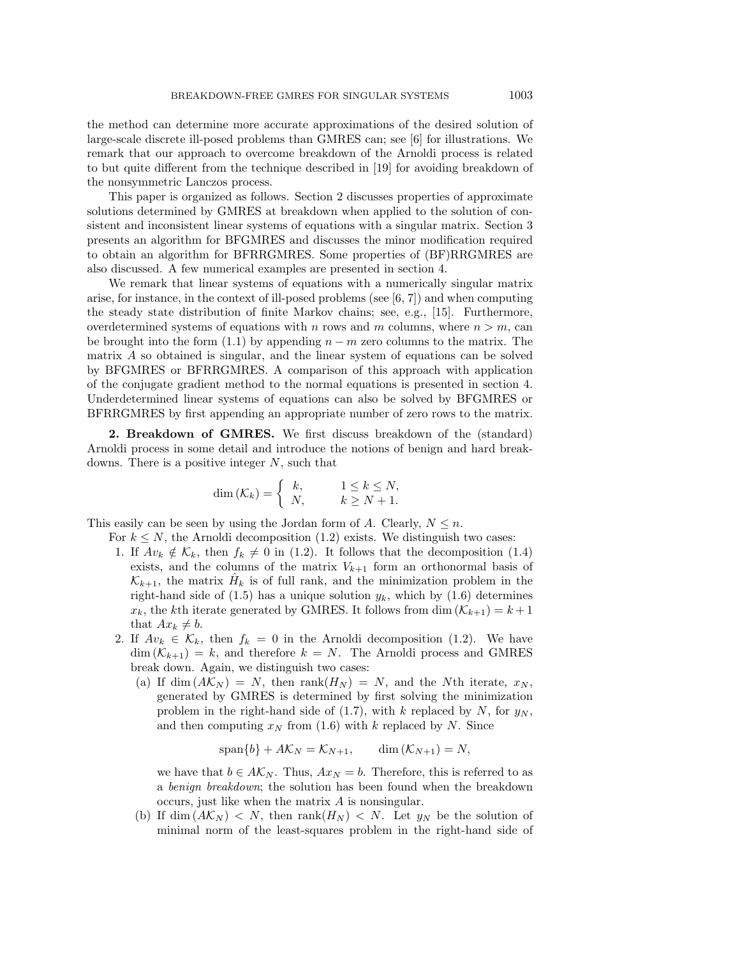the method can determine more accurate approximations of the desired solution of large-scale discrete ill-posed problems than GMRES can; see [6] for illustrations. We remark that our approach to overcome breakdown of the Arnoldi process is related to but quite different from the technique described in [19] for avoiding breakdown of the nonsymmetric Lanczos process.

This paper is organized as follows. Section 2 discusses properties of approximate solutions determined by GMRES at breakdown when applied to the solution of consistent and inconsistent linear systems of equations with a singular matrix. Section 3 presents an algorithm for BFGMRES and discusses the minor modification required to obtain an algorithm for BFRRGMRES. Some properties of (BF)RRGMRES are also discussed. A few numerical examples are presented in section 4.

We remark that linear systems of equations with a numerically singular matrix arise, for instance, in the context of ill-posed problems (see  $[6, 7]$ ) and when computing the steady state distribution of finite Markov chains; see, e.g., [15]. Furthermore, overdetermined systems of equations with n rows and m columns, where  $n>m$ , can be brought into the form (1.1) by appending  $n - m$  zero columns to the matrix. The matrix A so obtained is singular, and the linear system of equations can be solved by BFGMRES or BFRRGMRES. A comparison of this approach with application of the conjugate gradient method to the normal equations is presented in section 4. Underdetermined linear systems of equations can also be solved by BFGMRES or BFRRGMRES by first appending an appropriate number of zero rows to the matrix.

**2. Breakdown of GMRES.** We first discuss breakdown of the (standard) Arnoldi process in some detail and introduce the notions of benign and hard breakdowns. There is a positive integer  $N$ , such that

$$
\dim(\mathcal{K}_k) = \begin{cases} k, & 1 \le k \le N, \\ N, & k \ge N+1. \end{cases}
$$

This easily can be seen by using the Jordan form of A. Clearly,  $N \leq n$ .

- For  $k \leq N$ , the Arnoldi decomposition (1.2) exists. We distinguish two cases:
	- 1. If  $Av_k \notin \mathcal{K}_k$ , then  $f_k \neq 0$  in (1.2). It follows that the decomposition (1.4) exists, and the columns of the matrix  $V_{k+1}$  form an orthonormal basis of  $\mathcal{K}_{k+1}$ , the matrix  $\hat{H}_k$  is of full rank, and the minimization problem in the right-hand side of (1.5) has a unique solution  $y_k$ , which by (1.6) determines  $x_k$ , the kth iterate generated by GMRES. It follows from dim  $(\mathcal{K}_{k+1}) = k+1$ that  $Ax_k \neq b$ .
	- 2. If  $Av_k \in \mathcal{K}_k$ , then  $f_k = 0$  in the Arnoldi decomposition (1.2). We have  $\dim(K_{k+1}) = k$ , and therefore  $k = N$ . The Arnoldi process and GMRES break down. Again, we distinguish two cases:
		- (a) If dim  $(A\mathcal{K}_N) = N$ , then rank $(H_N) = N$ , and the Nth iterate,  $x_N$ , generated by GMRES is determined by first solving the minimization problem in the right-hand side of (1.7), with k replaced by N, for  $y_N$ , and then computing  $x_N$  from (1.6) with k replaced by N. Since

$$
\text{span}\{b\} + A\mathcal{K}_N = \mathcal{K}_{N+1}, \qquad \dim\left(\mathcal{K}_{N+1}\right) = N,
$$

we have that  $b \in A\mathcal{K}_N$ . Thus,  $Ax_N = b$ . Therefore, this is referred to as a benign breakdown; the solution has been found when the breakdown occurs, just like when the matrix A is nonsingular.

(b) If dim  $(A\mathcal{K}_N) < N$ , then rank $(H_N) < N$ . Let  $y_N$  be the solution of minimal norm of the least-squares problem in the right-hand side of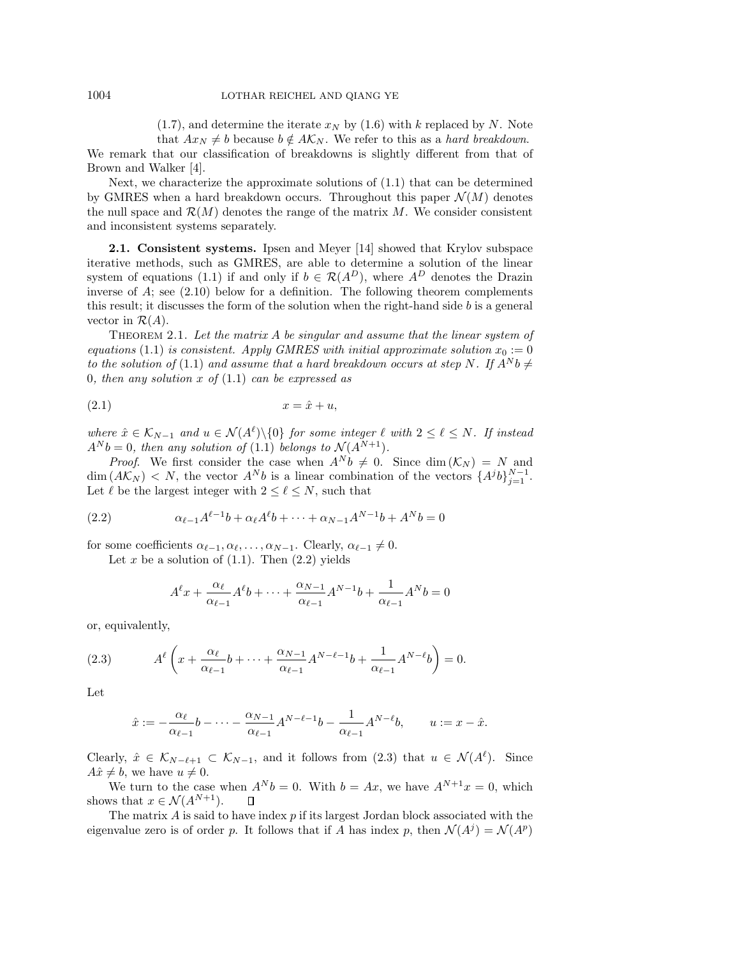$(1.7)$ , and determine the iterate  $x_N$  by  $(1.6)$  with k replaced by N. Note that  $Ax_N \neq b$  because  $b \notin A\mathcal{K}_N$ . We refer to this as a hard breakdown.

We remark that our classification of breakdowns is slightly different from that of Brown and Walker [4].

Next, we characterize the approximate solutions of (1.1) that can be determined by GMRES when a hard breakdown occurs. Throughout this paper  $\mathcal{N}(M)$  denotes the null space and  $\mathcal{R}(M)$  denotes the range of the matrix M. We consider consistent and inconsistent systems separately.

**2.1. Consistent systems.** Ipsen and Meyer [14] showed that Krylov subspace iterative methods, such as GMRES, are able to determine a solution of the linear system of equations (1.1) if and only if  $b \in \mathcal{R}(A^D)$ , where  $A^D$  denotes the Drazin inverse of A; see (2.10) below for a definition. The following theorem complements this result; it discusses the form of the solution when the right-hand side b is a general vector in  $\mathcal{R}(A)$ .

THEOREM 2.1. Let the matrix A be singular and assume that the linear system of equations (1.1) is consistent. Apply GMRES with initial approximate solution  $x_0 := 0$ to the solution of (1.1) and assume that a hard breakdown occurs at step N. If  $A^N b \neq$ 0, then any solution x of  $(1.1)$  can be expressed as

$$
(2.1) \t\t x = \hat{x} + u,
$$

where  $\hat{x} \in \mathcal{K}_{N-1}$  and  $u \in \mathcal{N}(A^{\ell}) \setminus \{0\}$  for some integer  $\ell$  with  $2 \leq \ell \leq N$ . If instead  $A^N b = 0$ , then any solution of (1.1) belongs to  $\mathcal{N}(A^{N+1})$ .

*Proof.* We first consider the case when  $A^N b \neq 0$ . Since dim  $(\mathcal{K}_N) = N$  and  $\dim (A\mathcal{K}_N) < N$ , the vector  $A^Nb$  is a linear combination of the vectors  $\{A^jb\}_{j=1}^{N-1}$ . Let  $\ell$  be the largest integer with  $2 \leq \ell \leq N$ , such that

(2.2) 
$$
\alpha_{\ell-1}A^{\ell-1}b + \alpha_{\ell}A^{\ell}b + \dots + \alpha_{N-1}A^{N-1}b + A^{N}b = 0
$$

for some coefficients  $\alpha_{\ell-1}, \alpha_{\ell}, \ldots, \alpha_{N-1}$ . Clearly,  $\alpha_{\ell-1} \neq 0$ .

Let x be a solution of  $(1.1)$ . Then  $(2.2)$  yields

$$
A^{\ell}x + \frac{\alpha_{\ell}}{\alpha_{\ell-1}}A^{\ell}b + \dots + \frac{\alpha_{N-1}}{\alpha_{\ell-1}}A^{N-1}b + \frac{1}{\alpha_{\ell-1}}A^{N}b = 0
$$

or, equivalently,

(2.3) 
$$
A^{\ell}\left(x + \frac{\alpha_{\ell}}{\alpha_{\ell-1}}b + \dots + \frac{\alpha_{N-1}}{\alpha_{\ell-1}}A^{N-\ell-1}b + \frac{1}{\alpha_{\ell-1}}A^{N-\ell}b\right) = 0.
$$

Let

$$
\hat{x} := -\frac{\alpha_{\ell}}{\alpha_{\ell-1}}b - \dots - \frac{\alpha_{N-1}}{\alpha_{\ell-1}}A^{N-\ell-1}b - \frac{1}{\alpha_{\ell-1}}A^{N-\ell}b, \qquad u := x - \hat{x}.
$$

Clearly,  $\hat{x} \in \mathcal{K}_{N-\ell+1} \subset \mathcal{K}_{N-1}$ , and it follows from  $(2.3)$  that  $u \in \mathcal{N}(A^{\ell})$ . Since  $A\hat{x} \neq b$ , we have  $u \neq 0$ .

We turn to the case when  $A^N b = 0$ . With  $b = Ax$ , we have  $A^{N+1}x = 0$ , which shows that  $x \in \mathcal{N}(A^{N+1})$ .  $\Box$ 

The matrix  $\vec{A}$  is said to have index  $p$  if its largest Jordan block associated with the eigenvalue zero is of order p. It follows that if A has index p, then  $\mathcal{N}(A^j) = \mathcal{N}(A^p)$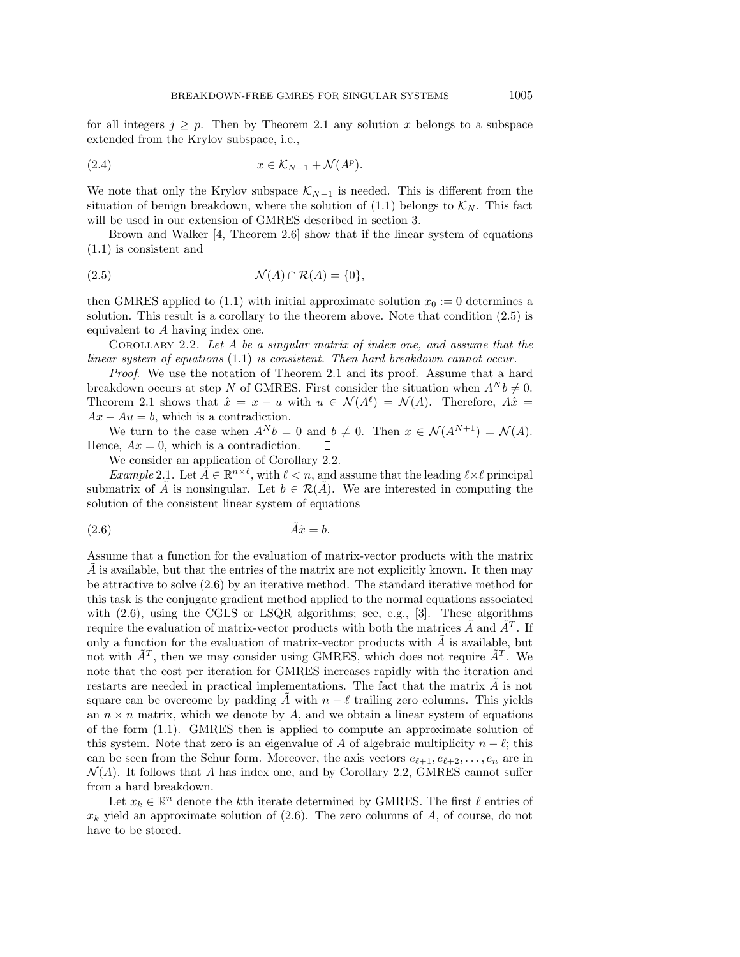for all integers  $j \geq p$ . Then by Theorem 2.1 any solution x belongs to a subspace extended from the Krylov subspace, i.e.,

(2.4) 
$$
x \in \mathcal{K}_{N-1} + \mathcal{N}(A^p).
$$

We note that only the Krylov subspace  $\mathcal{K}_{N-1}$  is needed. This is different from the situation of benign breakdown, where the solution of (1.1) belongs to  $\mathcal{K}_N$ . This fact will be used in our extension of GMRES described in section 3.

Brown and Walker [4, Theorem 2.6] show that if the linear system of equations (1.1) is consistent and

$$
(2.5) \t\t \mathcal{N}(A) \cap \mathcal{R}(A) = \{0\},
$$

then GMRES applied to (1.1) with initial approximate solution  $x_0 := 0$  determines a solution. This result is a corollary to the theorem above. Note that condition (2.5) is equivalent to A having index one.

COROLLARY 2.2. Let  $A$  be a singular matrix of index one, and assume that the linear system of equations (1.1) is consistent. Then hard breakdown cannot occur.

Proof. We use the notation of Theorem 2.1 and its proof. Assume that a hard breakdown occurs at step N of GMRES. First consider the situation when  $A^N b \neq 0$ . Theorem 2.1 shows that  $\hat{x} = x - u$  with  $u \in \mathcal{N}(A^{\ell}) = \mathcal{N}(A)$ . Therefore,  $A\hat{x} =$  $Ax - Au = b$ , which is a contradiction.

We turn to the case when  $A^N b = 0$  and  $b \neq 0$ . Then  $x \in \mathcal{N}(A^{N+1}) = \mathcal{N}(A)$ . Hence,  $Ax = 0$ , which is a contradiction.  $\Box$ 

We consider an application of Corollary 2.2.

Example 2.1. Let  $\tilde{A} \in \mathbb{R}^{n \times \ell}$ , with  $\ell < n$ , and assume that the leading  $\ell \times \ell$  principal submatrix of A is nonsingular. Let  $b \in \mathcal{R}(A)$ . We are interested in computing the solution of the consistent linear system of equations

$$
\tilde{A}\tilde{x} = b.
$$

Assume that a function for the evaluation of matrix-vector products with the matrix  $\overline{A}$  is available, but that the entries of the matrix are not explicitly known. It then may be attractive to solve (2.6) by an iterative method. The standard iterative method for this task is the conjugate gradient method applied to the normal equations associated with  $(2.6)$ , using the CGLS or LSQR algorithms; see, e.g., [3]. These algorithms require the evaluation of matrix-vector products with both the matrices  $\hat{A}$  and  $\hat{A}^T$ . If only a function for the evaluation of matrix-vector products with  $\tilde{A}$  is available, but not with  $\tilde{A}^T$ , then we may consider using GMRES, which does not require  $\tilde{A}^T$ . We note that the cost per iteration for GMRES increases rapidly with the iteration and restarts are needed in practical implementations. The fact that the matrix  $A$  is not square can be overcome by padding  $\tilde{A}$  with  $n - \ell$  trailing zero columns. This yields an  $n \times n$  matrix, which we denote by A, and we obtain a linear system of equations of the form (1.1). GMRES then is applied to compute an approximate solution of this system. Note that zero is an eigenvalue of A of algebraic multiplicity  $n - \ell$ ; this can be seen from the Schur form. Moreover, the axis vectors  $e_{\ell+1}, e_{\ell+2}, \ldots, e_n$  are in  $\mathcal{N}(A)$ . It follows that A has index one, and by Corollary 2.2, GMRES cannot suffer from a hard breakdown.

Let  $x_k \in \mathbb{R}^n$  denote the *k*<sup>th</sup> iterate determined by GMRES. The first  $\ell$  entries of  $x_k$  yield an approximate solution of  $(2.6)$ . The zero columns of A, of course, do not have to be stored.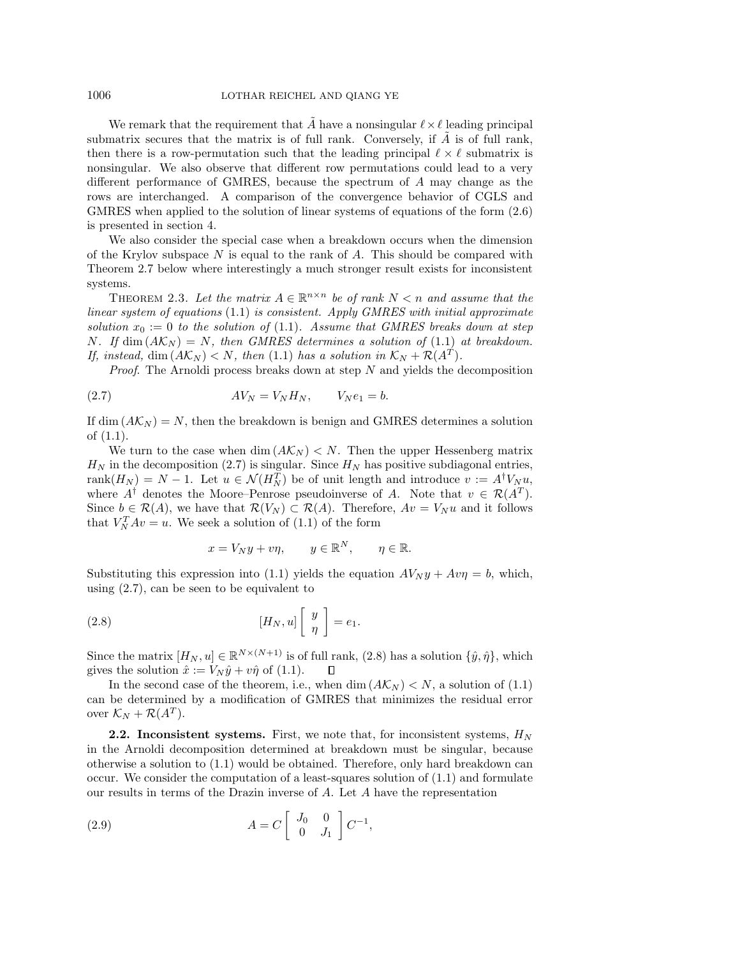We remark that the requirement that  $\tilde{A}$  have a nonsingular  $\ell \times \ell$  leading principal submatrix secures that the matrix is of full rank. Conversely, if  $A$  is of full rank, then there is a row-permutation such that the leading principal  $\ell \times \ell$  submatrix is nonsingular. We also observe that different row permutations could lead to a very different performance of GMRES, because the spectrum of A may change as the rows are interchanged. A comparison of the convergence behavior of CGLS and GMRES when applied to the solution of linear systems of equations of the form (2.6) is presented in section 4.

We also consider the special case when a breakdown occurs when the dimension of the Krylov subspace  $N$  is equal to the rank of  $A$ . This should be compared with Theorem 2.7 below where interestingly a much stronger result exists for inconsistent systems.

THEOREM 2.3. Let the matrix  $A \in \mathbb{R}^{n \times n}$  be of rank  $N < n$  and assume that the linear system of equations  $(1.1)$  is consistent. Apply GMRES with initial approximate solution  $x_0 := 0$  to the solution of (1.1). Assume that GMRES breaks down at step N. If dim  $(A\mathcal{K}_N) = N$ , then GMRES determines a solution of (1.1) at breakdown. If, instead, dim  $(A\mathcal{K}_N) < N$ , then (1.1) has a solution in  $\mathcal{K}_N + \mathcal{R}(A^T)$ .

*Proof.* The Arnoldi process breaks down at step  $N$  and yields the decomposition

$$
(2.7) \t\t AV_N = V_N H_N, \t V_N e_1 = b.
$$

If dim  $(A\mathcal{K}_N) = N$ , then the breakdown is benign and GMRES determines a solution of (1.1).

We turn to the case when dim  $(A\mathcal{K}_N) < N$ . Then the upper Hessenberg matrix  $H_N$  in the decomposition (2.7) is singular. Since  $H_N$  has positive subdiagonal entries,  $rank(H_N) = N - 1$ . Let  $u \in \mathcal{N}(H_N^T)$  be of unit length and introduce  $v := A^{\dagger}V_N u$ , where  $A^{\dagger}$  denotes the Moore–Penrose pseudoinverse of A. Note that  $v \in \mathcal{R}(A^T)$ . Since  $b \in \mathcal{R}(A)$ , we have that  $\mathcal{R}(V_N) \subset \mathcal{R}(A)$ . Therefore,  $Av = V_N u$  and it follows that  $V_N^T Av = u$ . We seek a solution of (1.1) of the form

$$
x = V_N y + v\eta, \qquad y \in \mathbb{R}^N, \qquad \eta \in \mathbb{R}.
$$

Substituting this expression into (1.1) yields the equation  $A V_N y + A v \eta = b$ , which, using (2.7), can be seen to be equivalent to

(2.8) 
$$
[H_N, u] \begin{bmatrix} y \\ \eta \end{bmatrix} = e_1.
$$

Since the matrix  $[H_N, u] \in \mathbb{R}^{N \times (N+1)}$  is of full rank, (2.8) has a solution  $\{\hat{y}, \hat{\eta}\}\$ , which gives the solution  $\hat{x} := V_N \hat{y} + v \hat{\eta}$  of (1.1).  $\Box$ 

In the second case of the theorem, i.e., when dim  $(A\mathcal{K}_N) < N$ , a solution of (1.1) can be determined by a modification of GMRES that minimizes the residual error over  $\mathcal{K}_N + \mathcal{R}(A^T)$ .

**2.2. Inconsistent systems.** First, we note that, for inconsistent systems,  $H_N$ in the Arnoldi decomposition determined at breakdown must be singular, because otherwise a solution to (1.1) would be obtained. Therefore, only hard breakdown can occur. We consider the computation of a least-squares solution of (1.1) and formulate our results in terms of the Drazin inverse of A. Let A have the representation

(2.9) 
$$
A = C \begin{bmatrix} J_0 & 0 \\ 0 & J_1 \end{bmatrix} C^{-1},
$$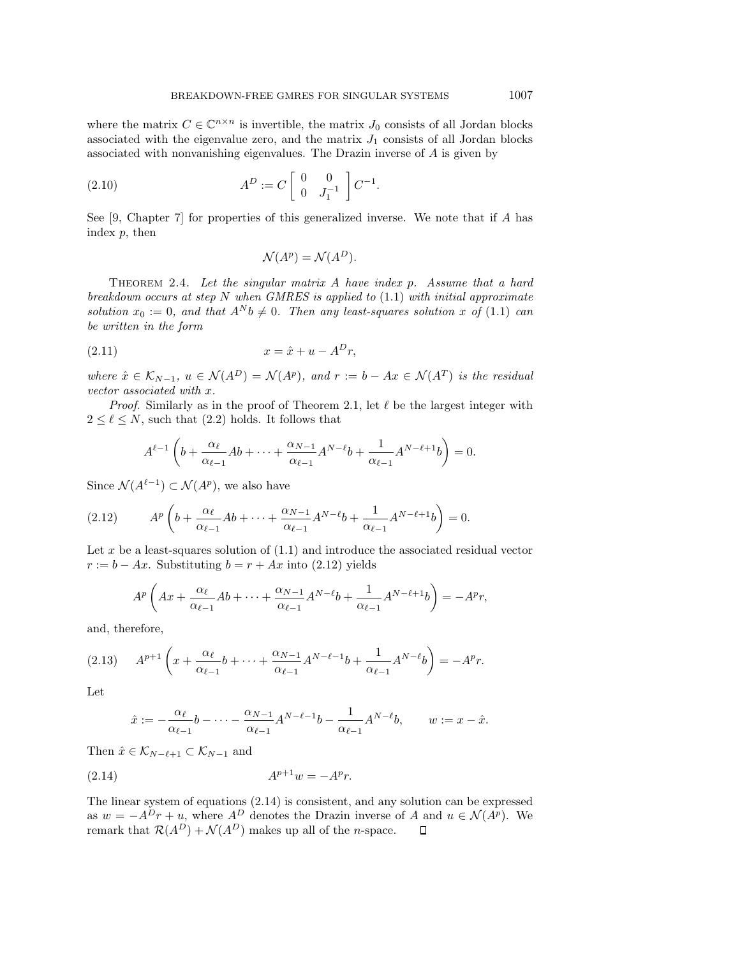where the matrix  $C \in \mathbb{C}^{n \times n}$  is invertible, the matrix  $J_0$  consists of all Jordan blocks associated with the eigenvalue zero, and the matrix  $J_1$  consists of all Jordan blocks associated with nonvanishing eigenvalues. The Drazin inverse of A is given by

(2.10) 
$$
A^{D} := C \begin{bmatrix} 0 & 0 \\ 0 & J_{1}^{-1} \end{bmatrix} C^{-1}.
$$

See [9, Chapter 7] for properties of this generalized inverse. We note that if A has index  $p$ , then

$$
\mathcal{N}(A^p) = \mathcal{N}(A^D).
$$

THEOREM 2.4. Let the singular matrix  $A$  have index  $p$ . Assume that a hard breakdown occurs at step N when GMRES is applied to  $(1.1)$  with initial approximate solution  $x_0 := 0$ , and that  $A^N b \neq 0$ . Then any least-squares solution x of (1.1) can be written in the form

$$
(2.11) \t\t x = \hat{x} + u - A^D r,
$$

where  $\hat{x} \in \mathcal{K}_{N-1}$ ,  $u \in \mathcal{N}(A^D) = \mathcal{N}(A^p)$ , and  $r := b - Ax \in \mathcal{N}(A^T)$  is the residual vector associated with x.

*Proof.* Similarly as in the proof of Theorem 2.1, let  $\ell$  be the largest integer with  $2 \leq \ell \leq N$ , such that  $(2.2)$  holds. It follows that

$$
A^{\ell-1}\left(b+\frac{\alpha_{\ell}}{\alpha_{\ell-1}}Ab+\cdots+\frac{\alpha_{N-1}}{\alpha_{\ell-1}}A^{N-\ell}b+\frac{1}{\alpha_{\ell-1}}A^{N-\ell+1}b\right)=0.
$$

Since  $\mathcal{N}(A^{\ell-1}) \subset \mathcal{N}(A^p)$ , we also have

(2.12) 
$$
A^{p} \left( b + \frac{\alpha_{\ell}}{\alpha_{\ell-1}} Ab + \dots + \frac{\alpha_{N-1}}{\alpha_{\ell-1}} A^{N-\ell} b + \frac{1}{\alpha_{\ell-1}} A^{N-\ell+1} b \right) = 0.
$$

Let  $x$  be a least-squares solution of  $(1.1)$  and introduce the associated residual vector  $r := b - Ax$ . Substituting  $b = r + Ax$  into (2.12) yields

$$
A^{p}\left(Ax+\frac{\alpha_{\ell}}{\alpha_{\ell-1}}Ab+\cdots+\frac{\alpha_{N-1}}{\alpha_{\ell-1}}A^{N-\ell}b+\frac{1}{\alpha_{\ell-1}}A^{N-\ell+1}b\right)=-A^{p}r,
$$

and, therefore,

$$
(2.13) \t A^{p+1} \left( x + \frac{\alpha_{\ell}}{\alpha_{\ell-1}} b + \dots + \frac{\alpha_{N-1}}{\alpha_{\ell-1}} A^{N-\ell-1} b + \frac{1}{\alpha_{\ell-1}} A^{N-\ell} b \right) = -A^p r.
$$

Let

$$
\hat{x} := -\frac{\alpha_{\ell}}{\alpha_{\ell-1}}b - \dots - \frac{\alpha_{N-1}}{\alpha_{\ell-1}}A^{N-\ell-1}b - \frac{1}{\alpha_{\ell-1}}A^{N-\ell}b, \qquad w := x - \hat{x}.
$$

Then  $\hat{x} \in \mathcal{K}_{N-\ell+1} \subset \mathcal{K}_{N-1}$  and

(2.14) 
$$
A^{p+1}w = -A^p r.
$$

The linear system of equations (2.14) is consistent, and any solution can be expressed as  $w = -A^D r + u$ , where  $A^D$  denotes the Drazin inverse of A and  $u \in \mathcal{N}(A^p)$ . We remark that  $\mathcal{R}(A^D) + \mathcal{N}(A^D)$  makes up all of the *n*-space.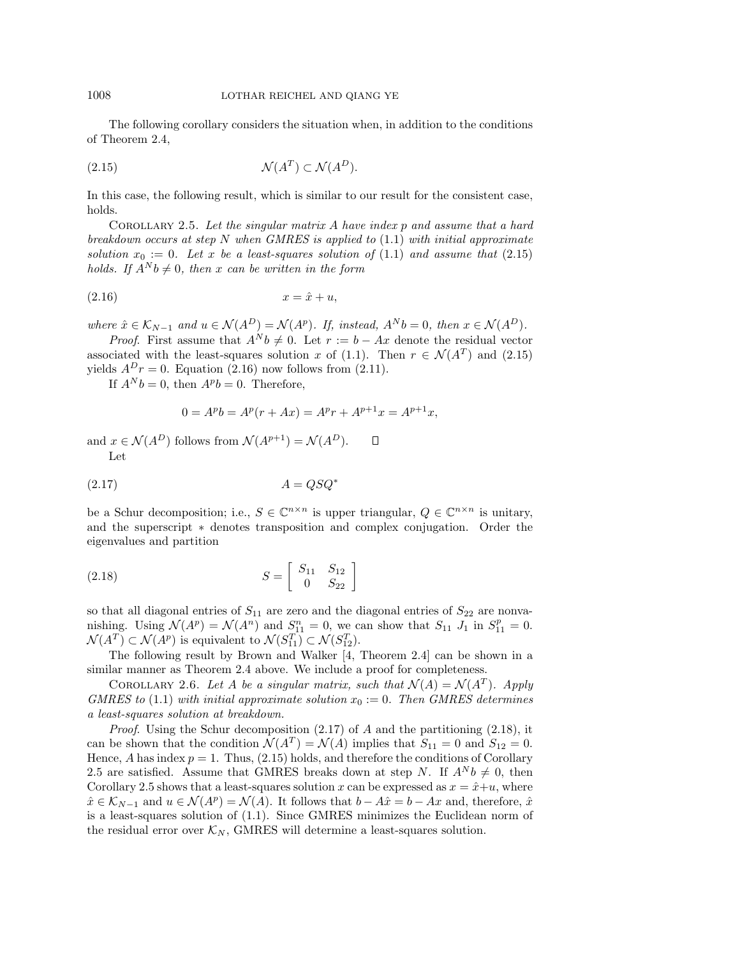The following corollary considers the situation when, in addition to the conditions of Theorem 2.4,

$$
(2.15)\quad \mathcal{N}(A^T) \subset \mathcal{N}(A^D).
$$

In this case, the following result, which is similar to our result for the consistent case, holds.

COROLLARY 2.5. Let the singular matrix  $A$  have index  $p$  and assume that a hard breakdown occurs at step N when GMRES is applied to  $(1.1)$  with initial approximate solution  $x_0 := 0$ . Let x be a least-squares solution of (1.1) and assume that (2.15) holds. If  $A^N b \neq 0$ , then x can be written in the form

$$
(2.16) \t\t x = \hat{x} + u,
$$

where  $\hat{x} \in \mathcal{K}_{N-1}$  and  $u \in \mathcal{N}(A^D) = \mathcal{N}(A^p)$ . If, instead,  $A^N b = 0$ , then  $x \in \mathcal{N}(A^D)$ .

*Proof.* First assume that  $A^N b \neq 0$ . Let  $r := b - Ax$  denote the residual vector associated with the least-squares solution x of (1.1). Then  $r \in \mathcal{N}(A^T)$  and (2.15) yields  $A^Dr = 0$ . Equation (2.16) now follows from (2.11).

If  $A^N b = 0$ , then  $A^p b = 0$ . Therefore,

$$
0 = Apb = Ap(r + Ax) = Apr + Ap+1x = Ap+1x,
$$

and  $x \in \mathcal{N}(A^D)$  follows from  $\mathcal{N}(A^{p+1}) = \mathcal{N}(A^D)$ .  $\Box$ Let

$$
(2.17)\quad A = QSQ^*
$$

be a Schur decomposition; i.e.,  $S \in \mathbb{C}^{n \times n}$  is upper triangular,  $Q \in \mathbb{C}^{n \times n}$  is unitary, and the superscript ∗ denotes transposition and complex conjugation. Order the eigenvalues and partition

(2.18) 
$$
S = \begin{bmatrix} S_{11} & S_{12} \\ 0 & S_{22} \end{bmatrix}
$$

so that all diagonal entries of  $S_{11}$  are zero and the diagonal entries of  $S_{22}$  are nonvanishing. Using  $\mathcal{N}(A^p) = \mathcal{N}(A^n)$  and  $S_{11}^n = 0$ , we can show that  $S_{11}$  J<sub>1</sub> in  $S_{11}^p = 0$ .  $\mathcal{N}(A^T) \subset \mathcal{N}(A^p)$  is equivalent to  $\mathcal{N}(S_{11}^T) \subset \mathcal{N}(S_{12}^T)$ .

The following result by Brown and Walker [4, Theorem 2.4] can be shown in a similar manner as Theorem 2.4 above. We include a proof for completeness.

COROLLARY 2.6. Let A be a singular matrix, such that  $\mathcal{N}(A) = \mathcal{N}(A^T)$ . Apply GMRES to (1.1) with initial approximate solution  $x_0 := 0$ . Then GMRES determines a least-squares solution at breakdown.

*Proof.* Using the Schur decomposition  $(2.17)$  of A and the partitioning  $(2.18)$ , it can be shown that the condition  $\mathcal{N}(A^T) = \mathcal{N}(A)$  implies that  $S_{11} = 0$  and  $S_{12} = 0$ . Hence, A has index  $p = 1$ . Thus, (2.15) holds, and therefore the conditions of Corollary 2.5 are satisfied. Assume that GMRES breaks down at step N. If  $A^N b \neq 0$ , then Corollary 2.5 shows that a least-squares solution x can be expressed as  $x = \hat{x}+u$ , where  $\hat{x} \in \mathcal{K}_{N-1}$  and  $u \in \mathcal{N}(A^p) = \mathcal{N}(A)$ . It follows that  $b - A\hat{x} = b - Ax$  and, therefore,  $\hat{x}$ is a least-squares solution of (1.1). Since GMRES minimizes the Euclidean norm of the residual error over  $\mathcal{K}_N$ , GMRES will determine a least-squares solution.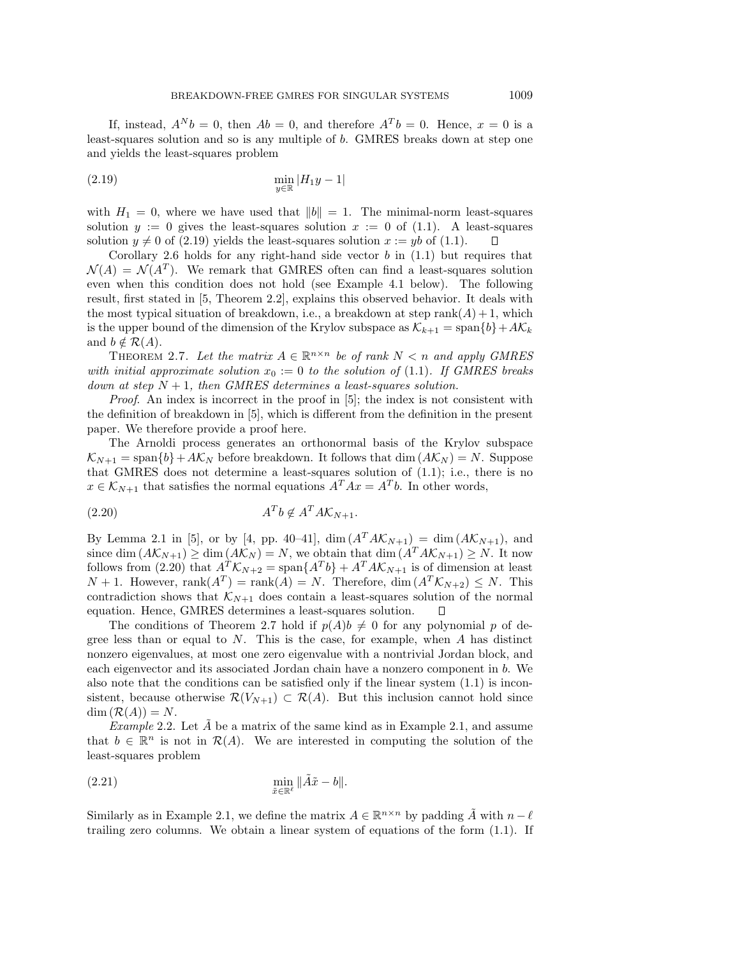If, instead,  $A^N b = 0$ , then  $Ab = 0$ , and therefore  $A^T b = 0$ . Hence,  $x = 0$  is a least-squares solution and so is any multiple of b. GMRES breaks down at step one and yields the least-squares problem

$$
\min_{y \in \mathbb{R}} |H_1 y - 1|
$$

with  $H_1 = 0$ , where we have used that  $||b|| = 1$ . The minimal-norm least-squares solution  $y := 0$  gives the least-squares solution  $x := 0$  of (1.1). A least-squares solution  $y \neq 0$  of (2.19) yields the least-squares solution  $x := yb$  of (1.1).

Corollary 2.6 holds for any right-hand side vector  $b$  in  $(1.1)$  but requires that  $\mathcal{N}(A) = \mathcal{N}(A^T)$ . We remark that GMRES often can find a least-squares solution even when this condition does not hold (see Example 4.1 below). The following result, first stated in [5, Theorem 2.2], explains this observed behavior. It deals with the most typical situation of breakdown, i.e., a breakdown at step rank $(A) + 1$ , which is the upper bound of the dimension of the Krylov subspace as  $\mathcal{K}_{k+1} = \text{span}{b} + A\mathcal{K}_k$ and  $b \notin \mathcal{R}(A)$ .

THEOREM 2.7. Let the matrix  $A \in \mathbb{R}^{n \times n}$  be of rank  $N < n$  and apply GMRES with initial approximate solution  $x_0 := 0$  to the solution of (1.1). If GMRES breaks down at step  $N + 1$ , then GMRES determines a least-squares solution.

Proof. An index is incorrect in the proof in [5]; the index is not consistent with the definition of breakdown in [5], which is different from the definition in the present paper. We therefore provide a proof here.

The Arnoldi process generates an orthonormal basis of the Krylov subspace  $\mathcal{K}_{N+1} = \text{span}{b} + A\mathcal{K}_N$  before breakdown. It follows that dim  $(A\mathcal{K}_N) = N$ . Suppose that GMRES does not determine a least-squares solution of (1.1); i.e., there is no  $x \in \mathcal{K}_{N+1}$  that satisfies the normal equations  $A^T A x = A^T b$ . In other words,

$$
(2.20) \t\t A^T b \notin A^T A \mathcal{K}_{N+1}.
$$

By Lemma 2.1 in [5], or by [4, pp. 40–41],  $\dim(A^T A \mathcal{K}_{N+1}) = \dim(A \mathcal{K}_{N+1})$ , and since dim  $(A\mathcal{K}_{N+1}) \ge \dim (A\mathcal{K}_N) = N$ , we obtain that dim  $(A^T A\mathcal{K}_{N+1}) \ge N$ . It now follows from (2.20) that  $A^{T} \mathcal{K}_{N+2} = \text{span}\{A^{T}b\} + A^{T}A \mathcal{K}_{N+1}$  is of dimension at least  $N+1$ . However, rank $(A^T)$  = rank $(A)$  = N. Therefore, dim  $(A^T \mathcal{K}_{N+2}) \leq N$ . This contradiction shows that  $K_{N+1}$  does contain a least-squares solution of the normal equation. Hence, GMRES determines a least-squares solution.  $\Box$ 

The conditions of Theorem 2.7 hold if  $p(A)b \neq 0$  for any polynomial p of degree less than or equal to  $N$ . This is the case, for example, when  $A$  has distinct nonzero eigenvalues, at most one zero eigenvalue with a nontrivial Jordan block, and each eigenvector and its associated Jordan chain have a nonzero component in b. We also note that the conditions can be satisfied only if the linear system (1.1) is inconsistent, because otherwise  $\mathcal{R}(V_{N+1}) \subset \mathcal{R}(A)$ . But this inclusion cannot hold since  $\dim (\mathcal{R}(A)) = N$ .

Example 2.2. Let A be a matrix of the same kind as in Example 2.1, and assume that  $b \in \mathbb{R}^n$  is not in  $\mathcal{R}(A)$ . We are interested in computing the solution of the least-squares problem

(2.21) 
$$
\min_{\tilde{x}\in\mathbb{R}^{\ell}}\|\tilde{A}\tilde{x}-b\|.
$$

Similarly as in Example 2.1, we define the matrix  $A \in \mathbb{R}^{n \times n}$  by padding  $\tilde{A}$  with  $n - \ell$ trailing zero columns. We obtain a linear system of equations of the form (1.1). If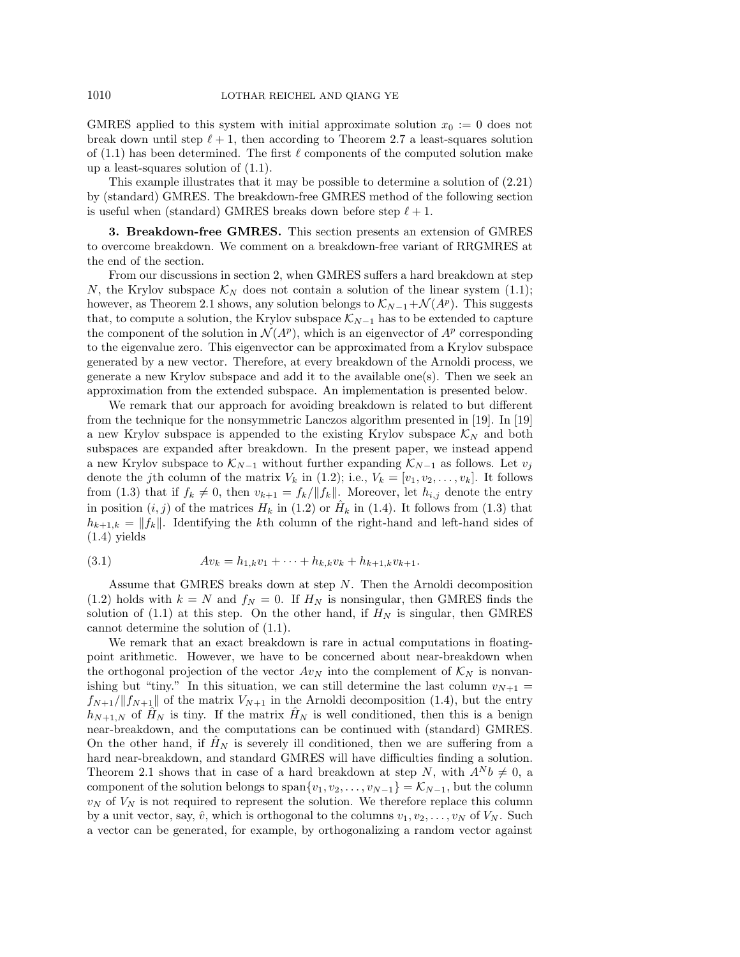GMRES applied to this system with initial approximate solution  $x_0 := 0$  does not break down until step  $\ell + 1$ , then according to Theorem 2.7 a least-squares solution of  $(1.1)$  has been determined. The first  $\ell$  components of the computed solution make up a least-squares solution of (1.1).

This example illustrates that it may be possible to determine a solution of (2.21) by (standard) GMRES. The breakdown-free GMRES method of the following section is useful when (standard) GMRES breaks down before step  $\ell + 1$ .

**3. Breakdown-free GMRES.** This section presents an extension of GMRES to overcome breakdown. We comment on a breakdown-free variant of RRGMRES at the end of the section.

From our discussions in section 2, when GMRES suffers a hard breakdown at step N, the Krylov subspace  $\mathcal{K}_N$  does not contain a solution of the linear system (1.1); however, as Theorem 2.1 shows, any solution belongs to  $\mathcal{K}_{N-1}+\mathcal{N}(A^p)$ . This suggests that, to compute a solution, the Krylov subspace  $\mathcal{K}_{N-1}$  has to be extended to capture the component of the solution in  $\mathcal{N}(A^p)$ , which is an eigenvector of  $A^p$  corresponding to the eigenvalue zero. This eigenvector can be approximated from a Krylov subspace generated by a new vector. Therefore, at every breakdown of the Arnoldi process, we generate a new Krylov subspace and add it to the available one $(s)$ . Then we seek an approximation from the extended subspace. An implementation is presented below.

We remark that our approach for avoiding breakdown is related to but different from the technique for the nonsymmetric Lanczos algorithm presented in [19]. In [19] a new Krylov subspace is appended to the existing Krylov subspace  $\mathcal{K}_N$  and both subspaces are expanded after breakdown. In the present paper, we instead append a new Krylov subspace to  $\mathcal{K}_{N-1}$  without further expanding  $\mathcal{K}_{N-1}$  as follows. Let  $v_j$ denote the jth column of the matrix  $V_k$  in (1.2); i.e.,  $V_k = [v_1, v_2, \ldots, v_k]$ . It follows from (1.3) that if  $f_k \neq 0$ , then  $v_{k+1} = f_k / ||f_k||$ . Moreover, let  $h_{i,j}$  denote the entry in position  $(i, j)$  of the matrices  $H_k$  in (1.2) or  $H_k$  in (1.4). It follows from (1.3) that  $h_{k+1,k} = ||f_k||$ . Identifying the kth column of the right-hand and left-hand sides of (1.4) yields

$$
(3.1) \t\t Av_k = h_{1,k}v_1 + \cdots + h_{k,k}v_k + h_{k+1,k}v_{k+1}.
$$

Assume that GMRES breaks down at step  $N$ . Then the Arnoldi decomposition (1.2) holds with  $k = N$  and  $f_N = 0$ . If  $H_N$  is nonsingular, then GMRES finds the solution of (1.1) at this step. On the other hand, if  $H_N$  is singular, then GMRES cannot determine the solution of (1.1).

We remark that an exact breakdown is rare in actual computations in floatingpoint arithmetic. However, we have to be concerned about near-breakdown when the orthogonal projection of the vector  $Av_N$  into the complement of  $\mathcal{K}_N$  is nonvanishing but "tiny." In this situation, we can still determine the last column  $v_{N+1} =$  $f_{N+1}/\|f_{N+1}\|$  of the matrix  $V_{N+1}$  in the Arnoldi decomposition (1.4), but the entry  $h_{N+1,N}$  of  $H_N$  is tiny. If the matrix  $H_N$  is well conditioned, then this is a benign near-breakdown, and the computations can be continued with (standard) GMRES. On the other hand, if  $H_N$  is severely ill conditioned, then we are suffering from a hard near-breakdown, and standard GMRES will have difficulties finding a solution. Theorem 2.1 shows that in case of a hard breakdown at step N, with  $A^N b \neq 0$ , a component of the solution belongs to span $\{v_1, v_2, \ldots, v_{N-1}\} = \mathcal{K}_{N-1}$ , but the column  $v_N$  of  $V_N$  is not required to represent the solution. We therefore replace this column by a unit vector, say,  $\hat{v}$ , which is orthogonal to the columns  $v_1, v_2, \ldots, v_N$  of  $V_N$ . Such a vector can be generated, for example, by orthogonalizing a random vector against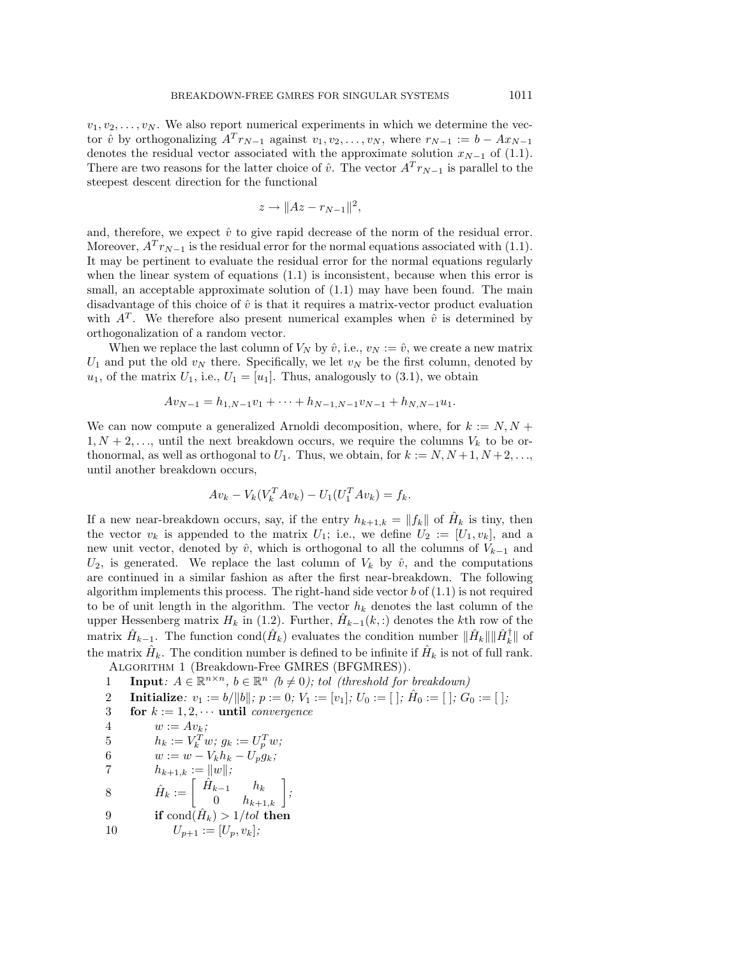$v_1, v_2, \ldots, v_N$ . We also report numerical experiments in which we determine the vector  $\hat{v}$  by orthogonalizing  $A^{T} r_{N-1}$  against  $v_1, v_2, \ldots, v_N$ , where  $r_{N-1} := b - Ax_{N-1}$ denotes the residual vector associated with the approximate solution  $x_{N-1}$  of (1.1). There are two reasons for the latter choice of  $\hat{v}$ . The vector  $A^{T}r_{N-1}$  is parallel to the steepest descent direction for the functional

$$
z \to ||Az - r_{N-1}||^2,
$$

and, therefore, we expect  $\hat{v}$  to give rapid decrease of the norm of the residual error. Moreover,  $A^{T} r_{N-1}$  is the residual error for the normal equations associated with (1.1). It may be pertinent to evaluate the residual error for the normal equations regularly when the linear system of equations (1.1) is inconsistent, because when this error is small, an acceptable approximate solution of  $(1.1)$  may have been found. The main disadvantage of this choice of  $\hat{v}$  is that it requires a matrix-vector product evaluation with  $A<sup>T</sup>$ . We therefore also present numerical examples when  $\hat{v}$  is determined by orthogonalization of a random vector.

When we replace the last column of  $V_N$  by  $\hat{v}$ , i.e.,  $v_N := \hat{v}$ , we create a new matrix  $U_1$  and put the old  $v_N$  there. Specifically, we let  $v_N$  be the first column, denoted by  $u_1$ , of the matrix  $U_1$ , i.e.,  $U_1 = [u_1]$ . Thus, analogously to (3.1), we obtain

$$
Av_{N-1} = h_{1,N-1}v_1 + \cdots + h_{N-1,N-1}v_{N-1} + h_{N,N-1}u_1.
$$

We can now compute a generalized Arnoldi decomposition, where, for  $k := N, N +$  $1, N+2, \ldots$ , until the next breakdown occurs, we require the columns  $V_k$  to be orthonormal, as well as orthogonal to  $U_1$ . Thus, we obtain, for  $k := N, N+1, N+2, \ldots$ , until another breakdown occurs,

$$
Av_k - V_k(V_k^T Av_k) - U_1(U_1^T Av_k) = f_k.
$$

If a new near-breakdown occurs, say, if the entry  $h_{k+1,k} = ||f_k||$  of  $\hat{H}_k$  is tiny, then the vector  $v_k$  is appended to the matrix  $U_1$ ; i.e., we define  $U_2 := [U_1, v_k]$ , and a new unit vector, denoted by  $\hat{v}$ , which is orthogonal to all the columns of  $V_{k-1}$  and  $U_2$ , is generated. We replace the last column of  $V_k$  by  $\hat{v}$ , and the computations are continued in a similar fashion as after the first near-breakdown. The following algorithm implements this process. The right-hand side vector  $b$  of  $(1.1)$  is not required to be of unit length in the algorithm. The vector  $h_k$  denotes the last column of the upper Hessenberg matrix  $H_k$  in (1.2). Further,  $\hat{H}_{k-1}(k,.)$  denotes the kth row of the matrix  $\hat{H}_{k-1}$ . The function cond $(\hat{H}_k)$  evaluates the condition number  $\|\hat{H}_k\|\|\hat{H}_k^{\dagger}\|$  of the matrix  $H_k$ . The condition number is defined to be infinite if  $\hat{H}_k$  is not of full rank. Algorithm 1 (Breakdown-Free GMRES (BFGMRES)).

- 1 **Input**:  $A \in \mathbb{R}^{n \times n}$ ,  $b \in \mathbb{R}^n$  ( $b \neq 0$ ); tol (threshold for breakdown)
- 2 **Initialize**:  $v_1 := b/||b||$ ;  $p := 0$ ;  $V_1 := [v_1]$ ;  $U_0 := [$   $], \hat{H}_0 := [$   $], G_0 := [$   $],$
- 3 **for**  $k := 1, 2, \cdots$  **until** convergence
- 4  $w := Av_k;$
- 5  $h_k := V_k^T w; g_k := U_p^T w;$
- 6  $w := w V_k h_k U_p g_k;$
- 7  $h_{k+1,k} := ||w||;$
- 8  $\hat{H}_k := \left[ \begin{array}{cc} \hat{H}_{k-1} & h_k \ 0 & h_{k+1,k} \end{array} \right]$ ;
- 9 **if** cond $(\hat{H}_k) > 1/tol$  **then**
- 10  $U_{p+1} := [U_p, v_k];$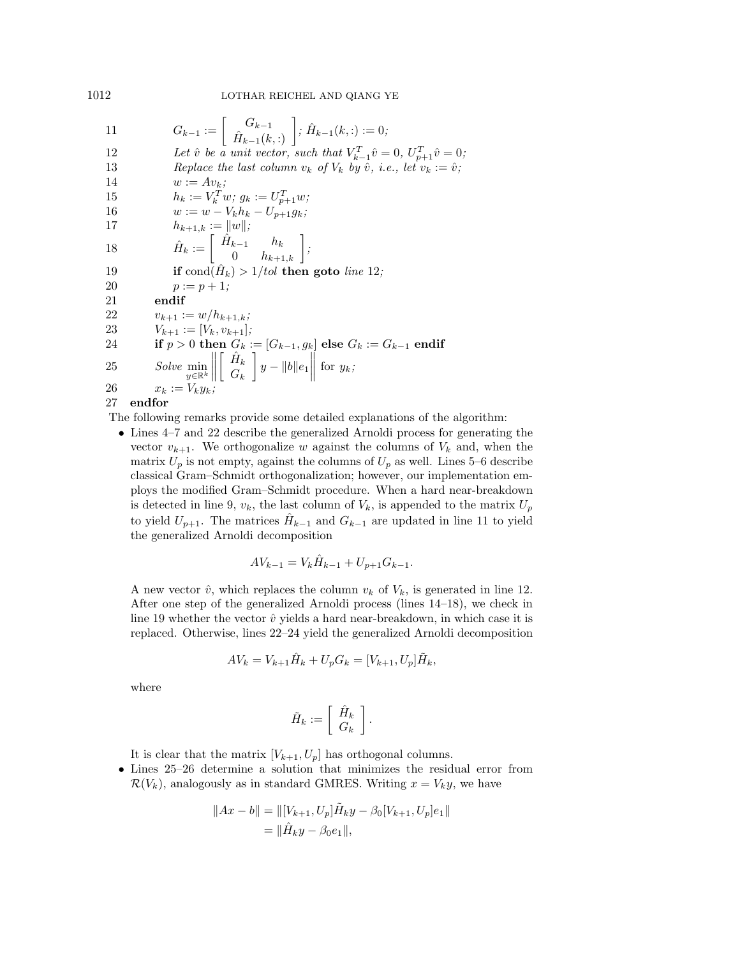1012 LOTHAR REICHEL AND QIANG YE

| 11 | $G_{k-1} := \begin{bmatrix} G_{k-1} \\ \hat{H}_{k-1}(k,.) \end{bmatrix}$ ; $\hat{H}_{k-1}(k,.) = 0$ ;                                      |
|----|--------------------------------------------------------------------------------------------------------------------------------------------|
| 12 | Let $\hat{v}$ be a unit vector, such that $V_{k-1}^T \hat{v} = 0$ , $U_{n+1}^T \hat{v} = 0$ ;                                              |
| 13 | Replace the last column $v_k$ of $V_k$ by $\hat{v}$ , i.e., let $v_k := \hat{v}$ ;                                                         |
| 14 | $w := Av_k;$                                                                                                                               |
| 15 | $h_k := V_k^T w; g_k := U_{n+1}^T w;$                                                                                                      |
| 16 | $w := w - V_k h_k - U_{p+1} g_k;$                                                                                                          |
| 17 | $h_{k+1,k} :=   w  ;$                                                                                                                      |
| 18 | $\hat{H}_k := \left  \begin{array}{cc} \tilde{H}_{k-1} & h_k \\ 0 & h_{k+1,k} \end{array} \right ;$                                        |
| 19 | if cond( $H_k$ ) > 1/tol then goto line 12;                                                                                                |
| 20 | $p := p + 1$ :                                                                                                                             |
| 21 | endif                                                                                                                                      |
| 22 | $v_{k+1} := w/h_{k+1,k};$                                                                                                                  |
| 23 | $V_{k+1} := [V_k, v_{k+1}];$                                                                                                               |
| 24 | if $p > 0$ then $G_k := [G_{k-1}, g_k]$ else $G_k := G_{k-1}$ endif                                                                        |
| 25 | Solve $\min_{y \in \mathbb{R}^k} \left\  \left\  \begin{array}{c} \dot{H}_k \\ G_k \end{array} \right\  y - \ b\ e_1 \right\ $ for $y_k$ ; |
| 26 | $x_k := V_k y_k$                                                                                                                           |
| 27 | endfor                                                                                                                                     |

27 **endfor**

The following remarks provide some detailed explanations of the algorithm:

• Lines 4–7 and 22 describe the generalized Arnoldi process for generating the vector  $v_{k+1}$ . We orthogonalize w against the columns of  $V_k$  and, when the matrix  $U_p$  is not empty, against the columns of  $U_p$  as well. Lines 5–6 describe classical Gram–Schmidt orthogonalization; however, our implementation employs the modified Gram–Schmidt procedure. When a hard near-breakdown is detected in line 9,  $v_k$ , the last column of  $V_k$ , is appended to the matrix  $U_p$ to yield  $U_{p+1}$ . The matrices  $H_{k-1}$  and  $G_{k-1}$  are updated in line 11 to yield the generalized Arnoldi decomposition

$$
AV_{k-1} = V_k \hat{H}_{k-1} + U_{p+1} G_{k-1}.
$$

A new vector  $\hat{v}$ , which replaces the column  $v_k$  of  $V_k$ , is generated in line 12. After one step of the generalized Arnoldi process (lines 14–18), we check in line 19 whether the vector  $\hat{v}$  yields a hard near-breakdown, in which case it is replaced. Otherwise, lines 22–24 yield the generalized Arnoldi decomposition

$$
AV_k = V_{k+1} \hat{H}_k + U_p G_k = [V_{k+1}, U_p] \tilde{H}_k,
$$

where

$$
\tilde{H}_k := \left[ \begin{array}{c} \hat{H}_k \\ G_k \end{array} \right].
$$

It is clear that the matrix  $[V_{k+1}, U_p]$  has orthogonal columns.

• Lines 25–26 determine a solution that minimizes the residual error from  $\mathcal{R}(V_k)$ , analogously as in standard GMRES. Writing  $x = V_k y$ , we have

$$
||Ax - b|| = ||[V_{k+1}, U_p]\tilde{H}_k y - \beta_0[V_{k+1}, U_p]e_1||
$$
  
=  $||\hat{H}_k y - \beta_0 e_1||$ ,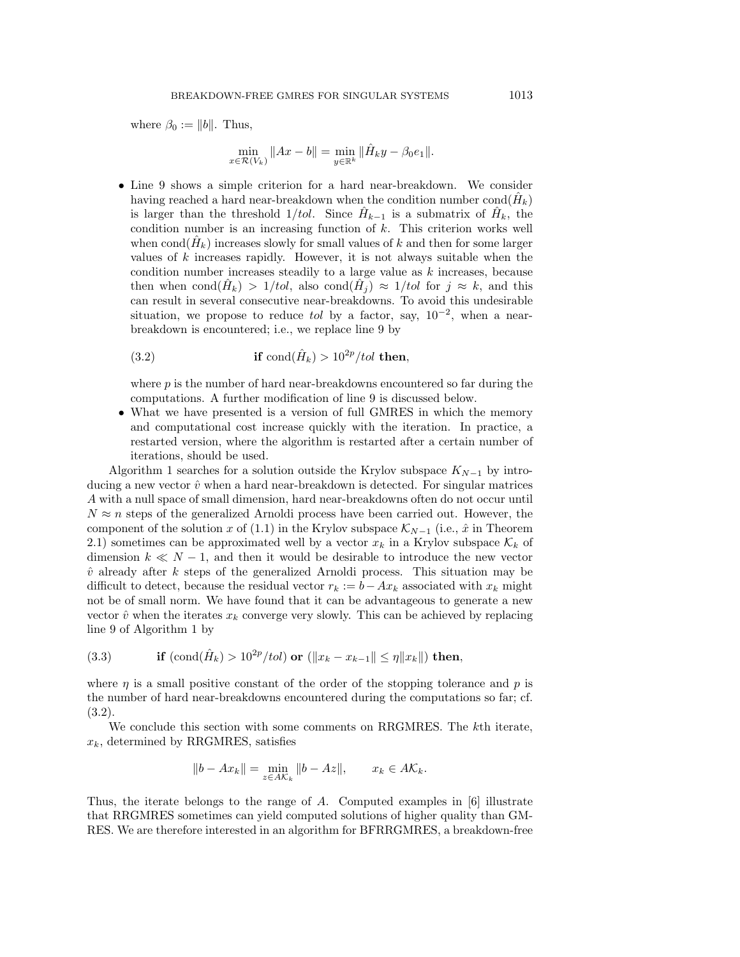where  $\beta_0 := ||b||$ . Thus,

$$
\min_{x \in \mathcal{R}(V_k)} \|Ax - b\| = \min_{y \in \mathbb{R}^k} \|\hat{H}_k y - \beta_0 e_1\|.
$$

• Line 9 shows a simple criterion for a hard near-breakdown. We consider having reached a hard near-breakdown when the condition number cond $(H_k)$ is larger than the threshold  $1/tol$ . Since  $\hat{H}_{k-1}$  is a submatrix of  $\hat{H}_k$ , the condition number is an increasing function of  $k$ . This criterion works well when cond $(\hat{H}_k)$  increases slowly for small values of k and then for some larger values of  $k$  increases rapidly. However, it is not always suitable when the condition number increases steadily to a large value as  $k$  increases, because then when cond $(\hat{H}_k) > 1/tol$ , also cond $(\hat{H}_i) \approx 1/tol$  for  $j \approx k$ , and this can result in several consecutive near-breakdowns. To avoid this undesirable situation, we propose to reduce tol by a factor, say,  $10^{-2}$ , when a nearbreakdown is encountered; i.e., we replace line 9 by

(3.2) if 
$$
\text{cond}(\hat{H}_k) > 10^{2p}/tol
$$
 then,

where  $p$  is the number of hard near-breakdowns encountered so far during the computations. A further modification of line 9 is discussed below.

• What we have presented is a version of full GMRES in which the memory and computational cost increase quickly with the iteration. In practice, a restarted version, where the algorithm is restarted after a certain number of iterations, should be used.

Algorithm 1 searches for a solution outside the Krylov subspace  $K_{N-1}$  by introducing a new vector  $\hat{v}$  when a hard near-breakdown is detected. For singular matrices A with a null space of small dimension, hard near-breakdowns often do not occur until  $N \approx n$  steps of the generalized Arnoldi process have been carried out. However, the component of the solution x of (1.1) in the Krylov subspace  $\mathcal{K}_{N-1}$  (i.e.,  $\hat{x}$  in Theorem 2.1) sometimes can be approximated well by a vector  $x_k$  in a Krylov subspace  $\mathcal{K}_k$  of dimension  $k \ll N - 1$ , and then it would be desirable to introduce the new vector  $\hat{v}$  already after k steps of the generalized Arnoldi process. This situation may be difficult to detect, because the residual vector  $r_k := b - Ax_k$  associated with  $x_k$  might not be of small norm. We have found that it can be advantageous to generate a new vector  $\hat{v}$  when the iterates  $x_k$  converge very slowly. This can be achieved by replacing line 9 of Algorithm 1 by

(3.3) if 
$$
(\text{cond}(\hat{H}_k) > 10^{2p}/tol) \text{ or } (\|x_k - x_{k-1}\| \le \eta \|x_k\|) \text{ then,}
$$

where  $\eta$  is a small positive constant of the order of the stopping tolerance and p is the number of hard near-breakdowns encountered during the computations so far; cf. (3.2).

We conclude this section with some comments on RRGMRES. The k<sup>th</sup> iterate,  $x_k$ , determined by RRGMRES, satisfies

$$
||b - Ax_k|| = \min_{z \in AK_k} ||b - Az||, \qquad x_k \in AK_k.
$$

Thus, the iterate belongs to the range of A. Computed examples in  $[6]$  illustrate that RRGMRES sometimes can yield computed solutions of higher quality than GM-RES. We are therefore interested in an algorithm for BFRRGMRES, a breakdown-free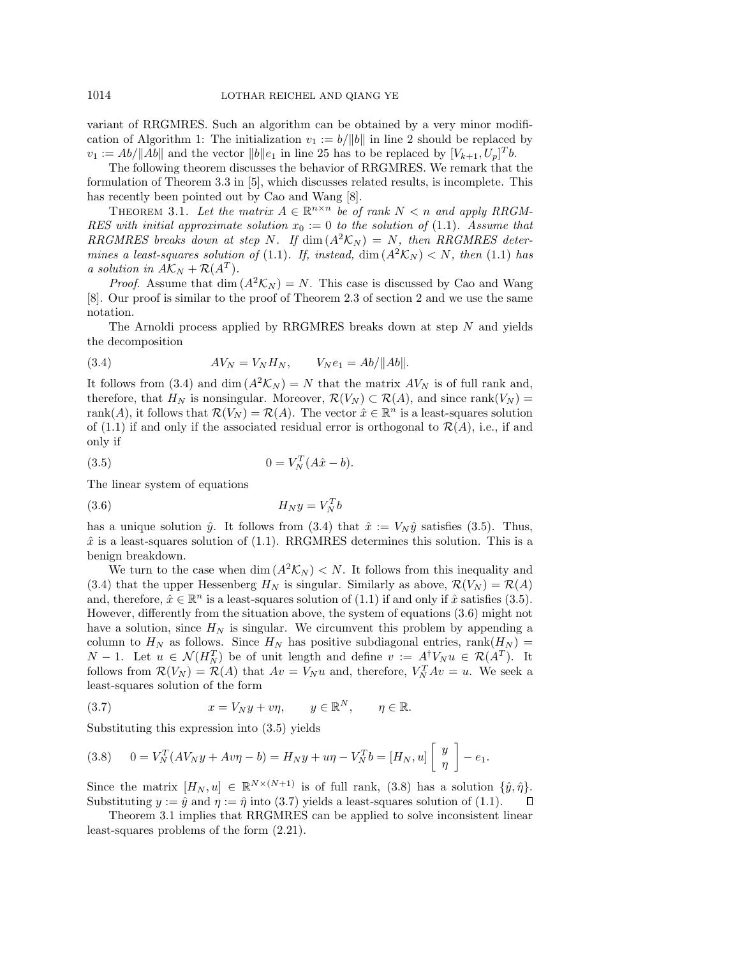variant of RRGMRES. Such an algorithm can be obtained by a very minor modification of Algorithm 1: The initialization  $v_1 := b/||b||$  in line 2 should be replaced by  $v_1 := Ab/||Ab||$  and the vector  $||b||e_1$  in line 25 has to be replaced by  $[V_{k+1}, U_p]^T b$ .

The following theorem discusses the behavior of RRGMRES. We remark that the formulation of Theorem 3.3 in [5], which discusses related results, is incomplete. This has recently been pointed out by Cao and Wang [8].

THEOREM 3.1. Let the matrix  $A \in \mathbb{R}^{n \times n}$  be of rank  $N < n$  and apply RRGM-RES with initial approximate solution  $x_0 := 0$  to the solution of (1.1). Assume that RRGMRES breaks down at step N. If  $\dim (A^2 \mathcal{K}_N) = N$ , then RRGMRES determines a least-squares solution of (1.1). If, instead,  $\dim(A^2\mathcal{K}_N) < N$ , then (1.1) has a solution in  $A\mathcal{K}_N + \mathcal{R}(A^T)$ .

*Proof.* Assume that dim  $(A^2 \mathcal{K}_N) = N$ . This case is discussed by Cao and Wang [8]. Our proof is similar to the proof of Theorem 2.3 of section 2 and we use the same notation.

The Arnoldi process applied by RRGMRES breaks down at step N and yields the decomposition

(3.4) 
$$
AV_N = V_N H_N, \qquad V_N e_1 = A b / ||Ab||.
$$

It follows from (3.4) and dim  $(A^2\mathcal{K}_N) = N$  that the matrix  $AV_N$  is of full rank and, therefore, that  $H_N$  is nonsingular. Moreover,  $\mathcal{R}(V_N) \subset \mathcal{R}(A)$ , and since rank $(V_N)$  = rank(A), it follows that  $\mathcal{R}(V_N) = \mathcal{R}(A)$ . The vector  $\hat{x} \in \mathbb{R}^n$  is a least-squares solution of (1.1) if and only if the associated residual error is orthogonal to  $\mathcal{R}(A)$ , i.e., if and only if

(3.5) 
$$
0 = V_N^T(A\hat{x} - b).
$$

The linear system of equations

$$
(3.6)\t\t H_N y = V_N^T b
$$

has a unique solution  $\hat{y}$ . It follows from (3.4) that  $\hat{x} := V_N \hat{y}$  satisfies (3.5). Thus,  $\hat{x}$  is a least-squares solution of (1.1). RRGMRES determines this solution. This is a benign breakdown.

We turn to the case when dim  $(A^2\mathcal{K}_N) < N$ . It follows from this inequality and (3.4) that the upper Hessenberg  $H_N$  is singular. Similarly as above,  $\mathcal{R}(V_N) = \mathcal{R}(A)$ and, therefore,  $\hat{x} \in \mathbb{R}^n$  is a least-squares solution of (1.1) if and only if  $\hat{x}$  satisfies (3.5). However, differently from the situation above, the system of equations (3.6) might not have a solution, since  $H_N$  is singular. We circumvent this problem by appending a column to  $H_N$  as follows. Since  $H_N$  has positive subdiagonal entries, rank $(H_N)$  =  $N-1$ . Let  $u \in \mathcal{N}(H_N^T)$  be of unit length and define  $v := A^{\dagger}V_N u \in \mathcal{R}(A^T)$ . It follows from  $\mathcal{R}(V_N) = \mathcal{R}(A)$  that  $Av = V_N u$  and, therefore,  $V_N^T Av = u$ . We seek a least-squares solution of the form

(3.7) 
$$
x = V_N y + v \eta, \qquad y \in \mathbb{R}^N, \qquad \eta \in \mathbb{R}.
$$

Substituting this expression into (3.5) yields

(3.8) 
$$
0 = V_N^T (AV_N y + Av\eta - b) = H_N y + u\eta - V_N^T b = [H_N, u] \begin{bmatrix} y \\ \eta \end{bmatrix} - e_1.
$$

Since the matrix  $[H_N, u] \in \mathbb{R}^{N \times (N+1)}$  is of full rank, (3.8) has a solution  $\{\hat{y}, \hat{\eta}\}.$ Substituting  $y := \hat{y}$  and  $\eta := \hat{\eta}$  into (3.7) yields a least-squares solution of (1.1).  $\Box$ 

Theorem 3.1 implies that RRGMRES can be applied to solve inconsistent linear least-squares problems of the form (2.21).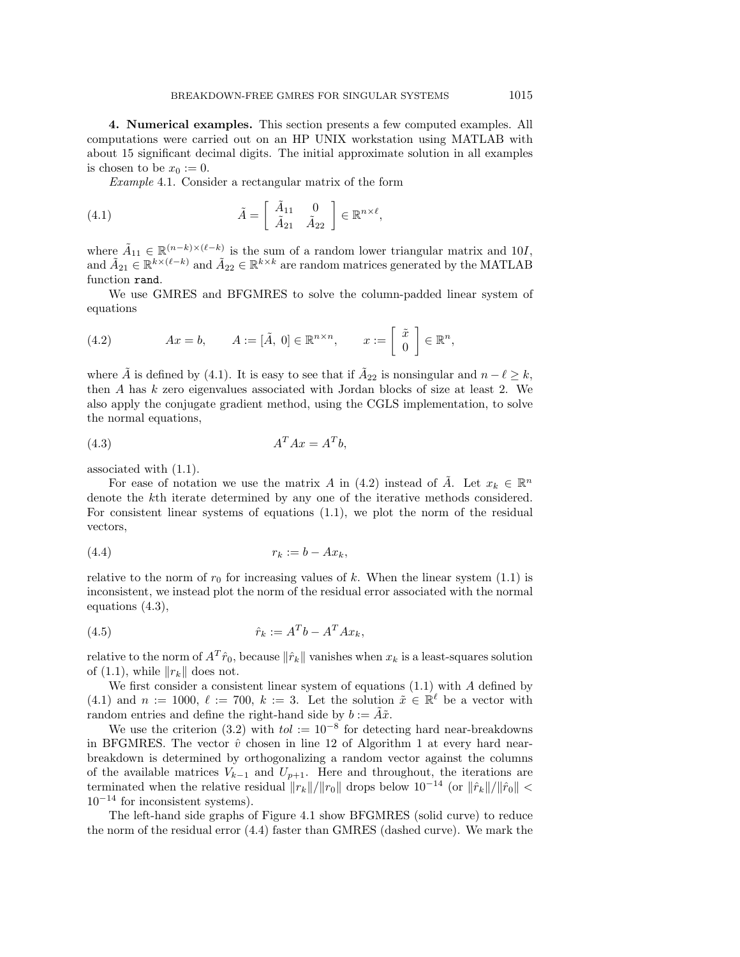**4. Numerical examples.** This section presents a few computed examples. All computations were carried out on an HP UNIX workstation using MATLAB with about 15 significant decimal digits. The initial approximate solution in all examples is chosen to be  $x_0 := 0$ .

Example 4.1. Consider a rectangular matrix of the form

(4.1) 
$$
\tilde{A} = \begin{bmatrix} \tilde{A}_{11} & 0 \\ \tilde{A}_{21} & \tilde{A}_{22} \end{bmatrix} \in \mathbb{R}^{n \times \ell},
$$

where  $\tilde{A}_{11} \in \mathbb{R}^{(n-k)\times(\ell-k)}$  is the sum of a random lower triangular matrix and 10*I*, and  $\tilde{A}_{21} \in \mathbb{R}^{k \times (\ell - k)}$  and  $\tilde{A}_{22} \in \mathbb{R}^{k \times k}$  are random matrices generated by the MATLAB function rand.

We use GMRES and BFGMRES to solve the column-padded linear system of equations

(4.2) 
$$
Ax = b, \qquad A := [\tilde{A}, 0] \in \mathbb{R}^{n \times n}, \qquad x := \left[\begin{array}{c} \tilde{x} \\ 0 \end{array}\right] \in \mathbb{R}^{n},
$$

where  $\tilde{A}$  is defined by (4.1). It is easy to see that if  $\tilde{A}_{22}$  is nonsingular and  $n - \ell \geq k$ , then A has k zero eigenvalues associated with Jordan blocks of size at least 2. We also apply the conjugate gradient method, using the CGLS implementation, to solve the normal equations,

$$
(4.3) \t\t AT Ax = ATb,
$$

associated with (1.1).

For ease of notation we use the matrix A in (4.2) instead of  $\tilde{A}$ . Let  $x_k \in \mathbb{R}^n$ denote the kth iterate determined by any one of the iterative methods considered. For consistent linear systems of equations (1.1), we plot the norm of the residual vectors,

$$
(4.4) \t\t\t r_k := b - Ax_k,
$$

relative to the norm of  $r_0$  for increasing values of k. When the linear system (1.1) is inconsistent, we instead plot the norm of the residual error associated with the normal equations (4.3),

$$
\hat{r}_k := A^T b - A^T A x_k,
$$

relative to the norm of  $A^T \hat{r}_0$ , because  $\|\hat{r}_k\|$  vanishes when  $x_k$  is a least-squares solution of (1.1), while  $||r_k||$  does not.

We first consider a consistent linear system of equations  $(1.1)$  with A defined by (4.1) and  $n := 1000, \ell := 700, k := 3$ . Let the solution  $\tilde{x} \in \mathbb{R}^{\ell}$  be a vector with random entries and define the right-hand side by  $b := \tilde{A}\tilde{x}$ .

We use the criterion (3.2) with  $tol := 10^{-8}$  for detecting hard near-breakdowns in BFGMRES. The vector  $\hat{v}$  chosen in line 12 of Algorithm 1 at every hard nearbreakdown is determined by orthogonalizing a random vector against the columns of the available matrices  $V_{k-1}$  and  $U_{p+1}$ . Here and throughout, the iterations are terminated when the relative residual  $||r_k||/||r_0||$  drops below  $10^{-14}$  (or  $||\hat{r}_k||/||\hat{r}_0|| <$  $10^{-14}$  for inconsistent systems).

The left-hand side graphs of Figure 4.1 show BFGMRES (solid curve) to reduce the norm of the residual error (4.4) faster than GMRES (dashed curve). We mark the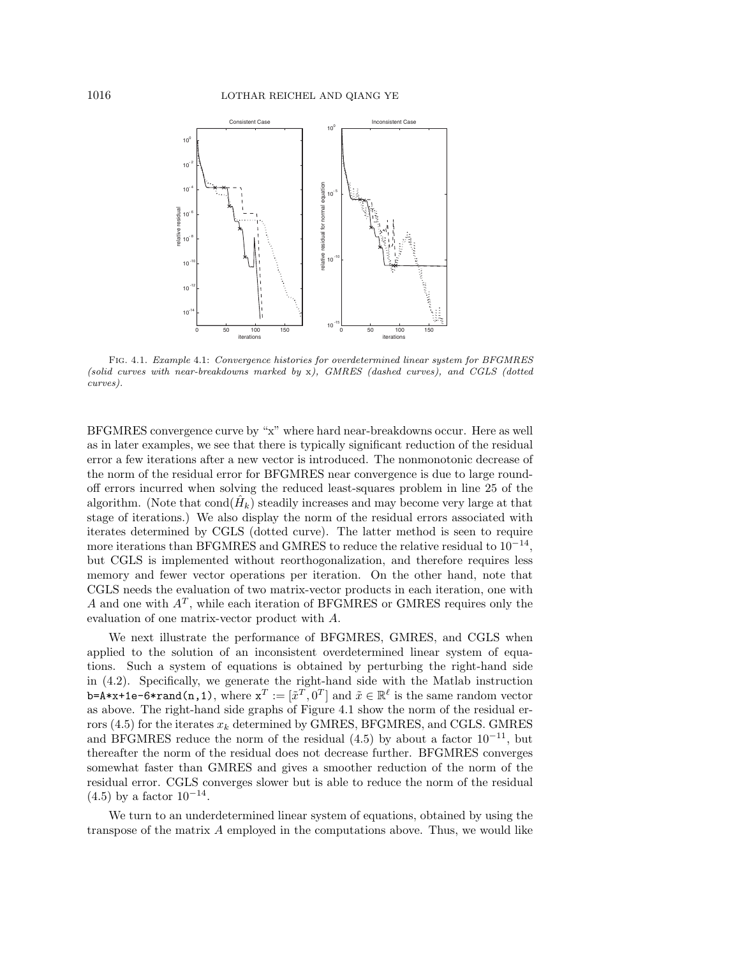

Fig. 4.1. Example 4.1: Convergence histories for overdetermined linear system for BFGMRES (solid curves with near-breakdowns marked by x), GMRES (dashed curves), and CGLS (dotted curves).

BFGMRES convergence curve by "x" where hard near-breakdowns occur. Here as well as in later examples, we see that there is typically significant reduction of the residual error a few iterations after a new vector is introduced. The nonmonotonic decrease of the norm of the residual error for BFGMRES near convergence is due to large roundoff errors incurred when solving the reduced least-squares problem in line 25 of the algorithm. (Note that  $\text{cond}(H_k)$  steadily increases and may become very large at that stage of iterations.) We also display the norm of the residual errors associated with iterates determined by CGLS (dotted curve). The latter method is seen to require more iterations than BFGMRES and GMRES to reduce the relative residual to  $10^{-14}$ , but CGLS is implemented without reorthogonalization, and therefore requires less memory and fewer vector operations per iteration. On the other hand, note that CGLS needs the evaluation of two matrix-vector products in each iteration, one with A and one with  $A<sup>T</sup>$ , while each iteration of BFGMRES or GMRES requires only the evaluation of one matrix-vector product with A.

We next illustrate the performance of BFGMRES, GMRES, and CGLS when applied to the solution of an inconsistent overdetermined linear system of equations. Such a system of equations is obtained by perturbing the right-hand side in (4.2). Specifically, we generate the right-hand side with the Matlab instruction b=A\*x+1e-6\*rand(n,1), where  $\mathtt{x}^T := [\tilde{x}^T, 0^T]$  and  $\tilde{x} \in \mathbb{R}^{\ell}$  is the same random vector as above. The right-hand side graphs of Figure 4.1 show the norm of the residual errors (4.5) for the iterates  $x_k$  determined by GMRES, BFGMRES, and CGLS. GMRES and BFGMRES reduce the norm of the residual  $(4.5)$  by about a factor  $10^{-11}$ , but thereafter the norm of the residual does not decrease further. BFGMRES converges somewhat faster than GMRES and gives a smoother reduction of the norm of the residual error. CGLS converges slower but is able to reduce the norm of the residual  $(4.5)$  by a factor  $10^{-14}$ .

We turn to an underdetermined linear system of equations, obtained by using the transpose of the matrix A employed in the computations above. Thus, we would like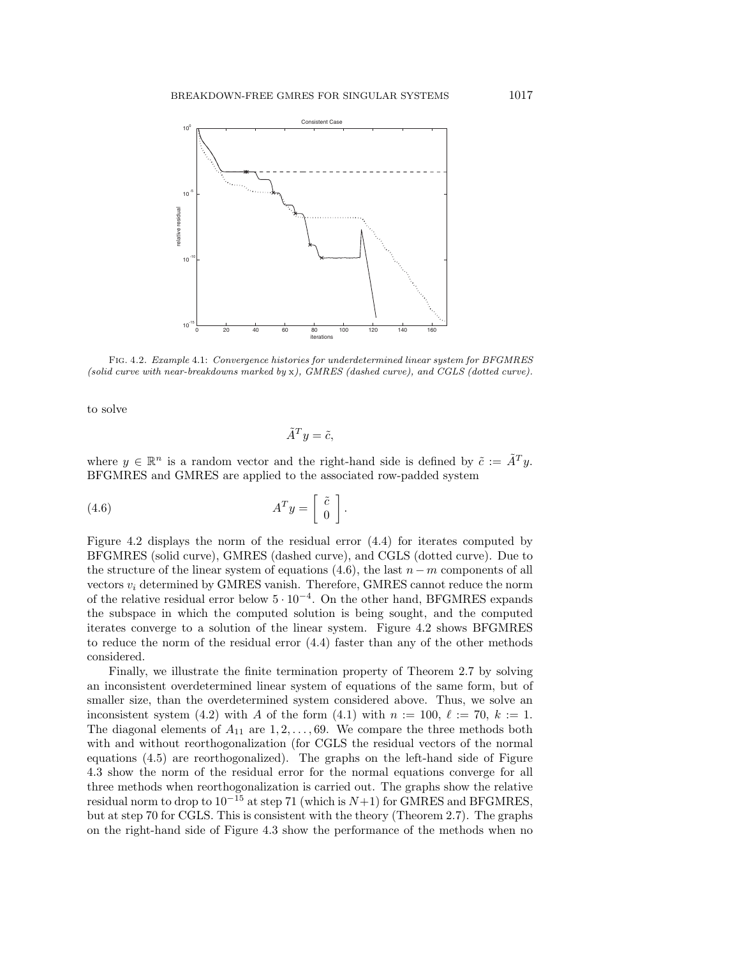

Fig. 4.2. Example 4.1: Convergence histories for underdetermined linear system for BFGMRES (solid curve with near-breakdowns marked by x), GMRES (dashed curve), and CGLS (dotted curve).

to solve

$$
\tilde{A}^T y = \tilde{c},
$$

where  $y \in \mathbb{R}^n$  is a random vector and the right-hand side is defined by  $\tilde{c} := \tilde{A}^T y$ . BFGMRES and GMRES are applied to the associated row-padded system

(4.6) 
$$
A^T y = \begin{bmatrix} \tilde{c} \\ 0 \end{bmatrix}.
$$

Figure 4.2 displays the norm of the residual error (4.4) for iterates computed by BFGMRES (solid curve), GMRES (dashed curve), and CGLS (dotted curve). Due to the structure of the linear system of equations  $(4.6)$ , the last  $n - m$  components of all vectors  $v_i$  determined by GMRES vanish. Therefore, GMRES cannot reduce the norm of the relative residual error below  $5 \cdot 10^{-4}$ . On the other hand, BFGMRES expands the subspace in which the computed solution is being sought, and the computed iterates converge to a solution of the linear system. Figure 4.2 shows BFGMRES to reduce the norm of the residual error (4.4) faster than any of the other methods considered.

Finally, we illustrate the finite termination property of Theorem 2.7 by solving an inconsistent overdetermined linear system of equations of the same form, but of smaller size, than the overdetermined system considered above. Thus, we solve an inconsistent system (4.2) with A of the form (4.1) with  $n := 100, \ell := 70, k := 1$ . The diagonal elements of  $A_{11}$  are  $1, 2, \ldots, 69$ . We compare the three methods both with and without reorthogonalization (for CGLS the residual vectors of the normal equations (4.5) are reorthogonalized). The graphs on the left-hand side of Figure 4.3 show the norm of the residual error for the normal equations converge for all three methods when reorthogonalization is carried out. The graphs show the relative residual norm to drop to  $10^{-15}$  at step 71 (which is  $N+1$ ) for GMRES and BFGMRES, but at step 70 for CGLS. This is consistent with the theory (Theorem 2.7). The graphs on the right-hand side of Figure 4.3 show the performance of the methods when no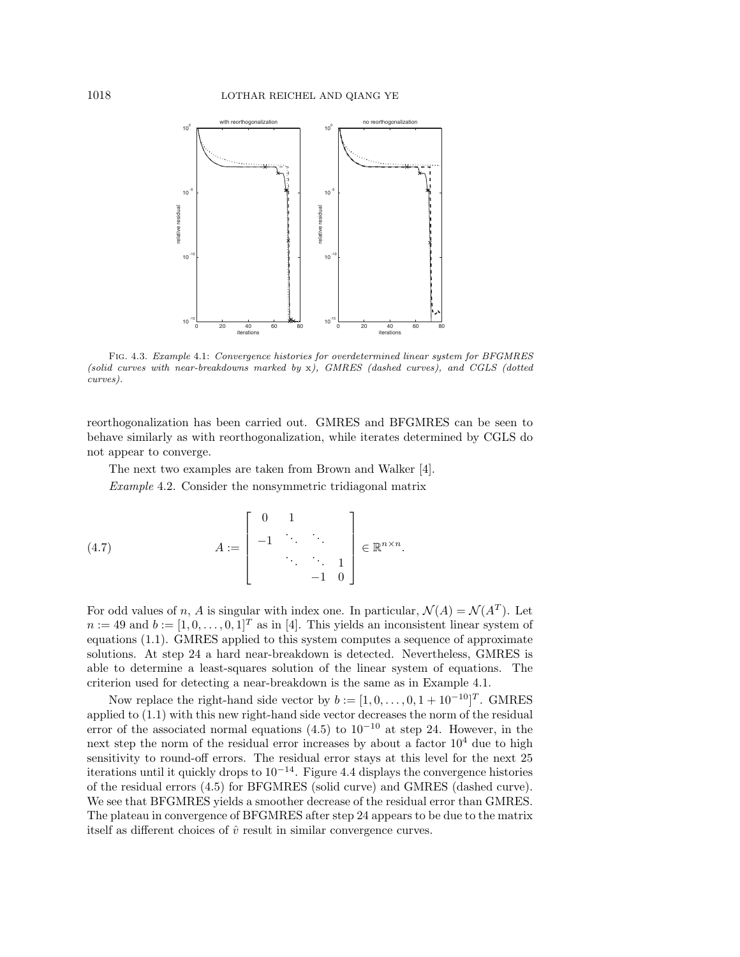

Fig. 4.3. Example 4.1: Convergence histories for overdetermined linear system for BFGMRES (solid curves with near-breakdowns marked by x), GMRES (dashed curves), and CGLS (dotted curves).

reorthogonalization has been carried out. GMRES and BFGMRES can be seen to behave similarly as with reorthogonalization, while iterates determined by CGLS do not appear to converge.

The next two examples are taken from Brown and Walker [4].

Example 4.2. Consider the nonsymmetric tridiagonal matrix

(4.7) 
$$
A := \begin{bmatrix} 0 & 1 \\ -1 & \ddots & \ddots \\ & & \ddots & \ddots & 1 \\ & & & -1 & 0 \end{bmatrix} \in \mathbb{R}^{n \times n}.
$$

For odd values of n, A is singular with index one. In particular,  $\mathcal{N}(A) = \mathcal{N}(A^T)$ . Let  $n := 49$  and  $b := [1, 0, \ldots, 0, 1]^T$  as in [4]. This yields an inconsistent linear system of equations (1.1). GMRES applied to this system computes a sequence of approximate solutions. At step 24 a hard near-breakdown is detected. Nevertheless, GMRES is able to determine a least-squares solution of the linear system of equations. The criterion used for detecting a near-breakdown is the same as in Example 4.1.

Now replace the right-hand side vector by  $b := [1, 0, \ldots, 0, 1 + 10^{-10}]^T$ . GMRES applied to (1.1) with this new right-hand side vector decreases the norm of the residual error of the associated normal equations  $(4.5)$  to  $10^{-10}$  at step 24. However, in the next step the norm of the residual error increases by about a factor  $10<sup>4</sup>$  due to high sensitivity to round-off errors. The residual error stays at this level for the next 25 iterations until it quickly drops to  $10^{-14}$ . Figure 4.4 displays the convergence histories of the residual errors (4.5) for BFGMRES (solid curve) and GMRES (dashed curve). We see that BFGMRES yields a smoother decrease of the residual error than GMRES. The plateau in convergence of BFGMRES after step 24 appears to be due to the matrix itself as different choices of  $\hat{v}$  result in similar convergence curves.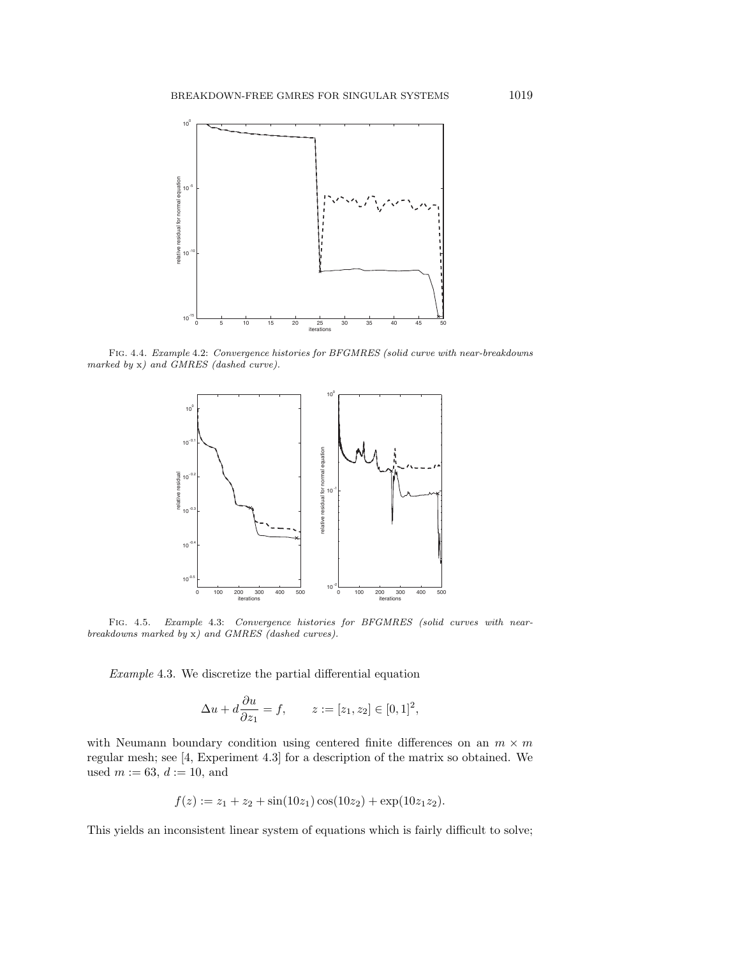

Fig. 4.4. Example 4.2: Convergence histories for BFGMRES (solid curve with near-breakdowns marked by x) and GMRES (dashed curve).



Fig. 4.5. Example 4.3: Convergence histories for BFGMRES (solid curves with nearbreakdowns marked by x) and GMRES (dashed curves).

Example 4.3. We discretize the partial differential equation

$$
\Delta u + d \frac{\partial u}{\partial z_1} = f, \qquad z := [z_1, z_2] \in [0, 1]^2,
$$

with Neumann boundary condition using centered finite differences on an  $m \times m$ regular mesh; see [4, Experiment 4.3] for a description of the matrix so obtained. We used  $m := 63, d := 10$ , and

$$
f(z) := z_1 + z_2 + \sin(10z_1)\cos(10z_2) + \exp(10z_1z_2).
$$

This yields an inconsistent linear system of equations which is fairly difficult to solve;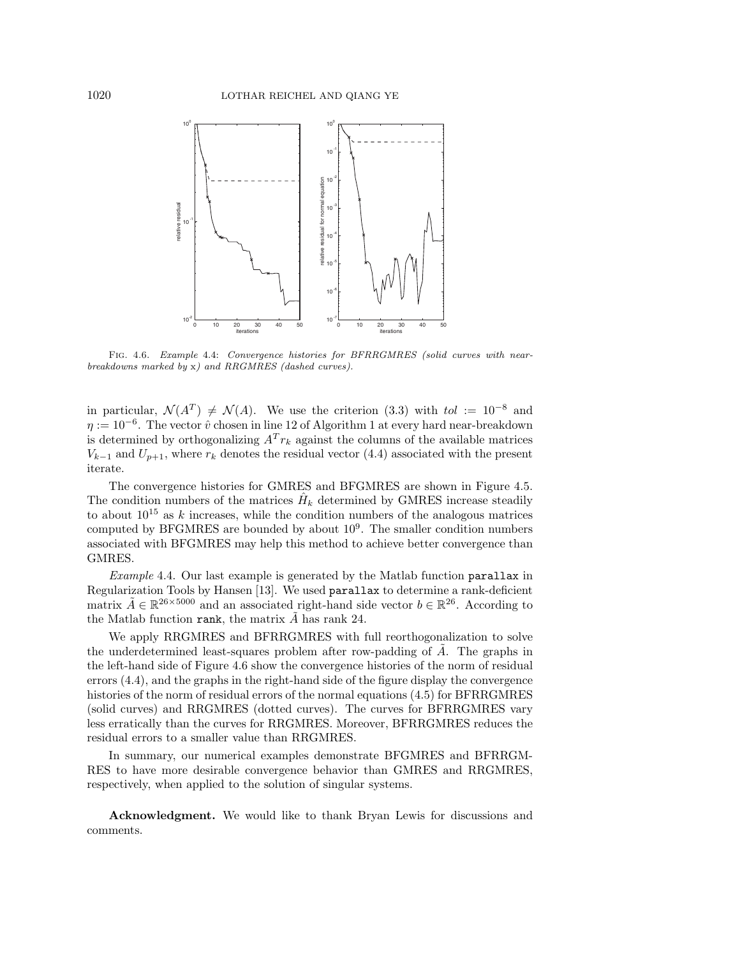

Fig. 4.6. Example 4.4: Convergence histories for BFRRGMRES (solid curves with nearbreakdowns marked by x) and RRGMRES (dashed curves).

in particular,  $\mathcal{N}(A^T) \neq \mathcal{N}(A)$ . We use the criterion (3.3) with tol := 10<sup>-8</sup> and  $\eta := 10^{-6}$ . The vector  $\hat{v}$  chosen in line 12 of Algorithm 1 at every hard near-breakdown is determined by orthogonalizing  $A^{T} r_k$  against the columns of the available matrices  $V_{k-1}$  and  $U_{p+1}$ , where  $r_k$  denotes the residual vector (4.4) associated with the present iterate.

The convergence histories for GMRES and BFGMRES are shown in Figure 4.5. The condition numbers of the matrices  $\hat{H}_k$  determined by GMRES increase steadily to about  $10^{15}$  as k increases, while the condition numbers of the analogous matrices computed by BFGMRES are bounded by about  $10<sup>9</sup>$ . The smaller condition numbers associated with BFGMRES may help this method to achieve better convergence than GMRES.

Example 4.4. Our last example is generated by the Matlab function parallax in Regularization Tools by Hansen [13]. We used parallax to determine a rank-deficient matrix  $\tilde{A} \in \mathbb{R}^{26 \times 5000}$  and an associated right-hand side vector  $b \in \mathbb{R}^{26}$ . According to the Matlab function rank, the matrix  $A$  has rank 24.

We apply RRGMRES and BFRRGMRES with full reorthogonalization to solve the underdetermined least-squares problem after row-padding of  $A$ . The graphs in the left-hand side of Figure 4.6 show the convergence histories of the norm of residual errors (4.4), and the graphs in the right-hand side of the figure display the convergence histories of the norm of residual errors of the normal equations (4.5) for BFRRGMRES (solid curves) and RRGMRES (dotted curves). The curves for BFRRGMRES vary less erratically than the curves for RRGMRES. Moreover, BFRRGMRES reduces the residual errors to a smaller value than RRGMRES.

In summary, our numerical examples demonstrate BFGMRES and BFRRGM-RES to have more desirable convergence behavior than GMRES and RRGMRES, respectively, when applied to the solution of singular systems.

**Acknowledgment.** We would like to thank Bryan Lewis for discussions and comments.